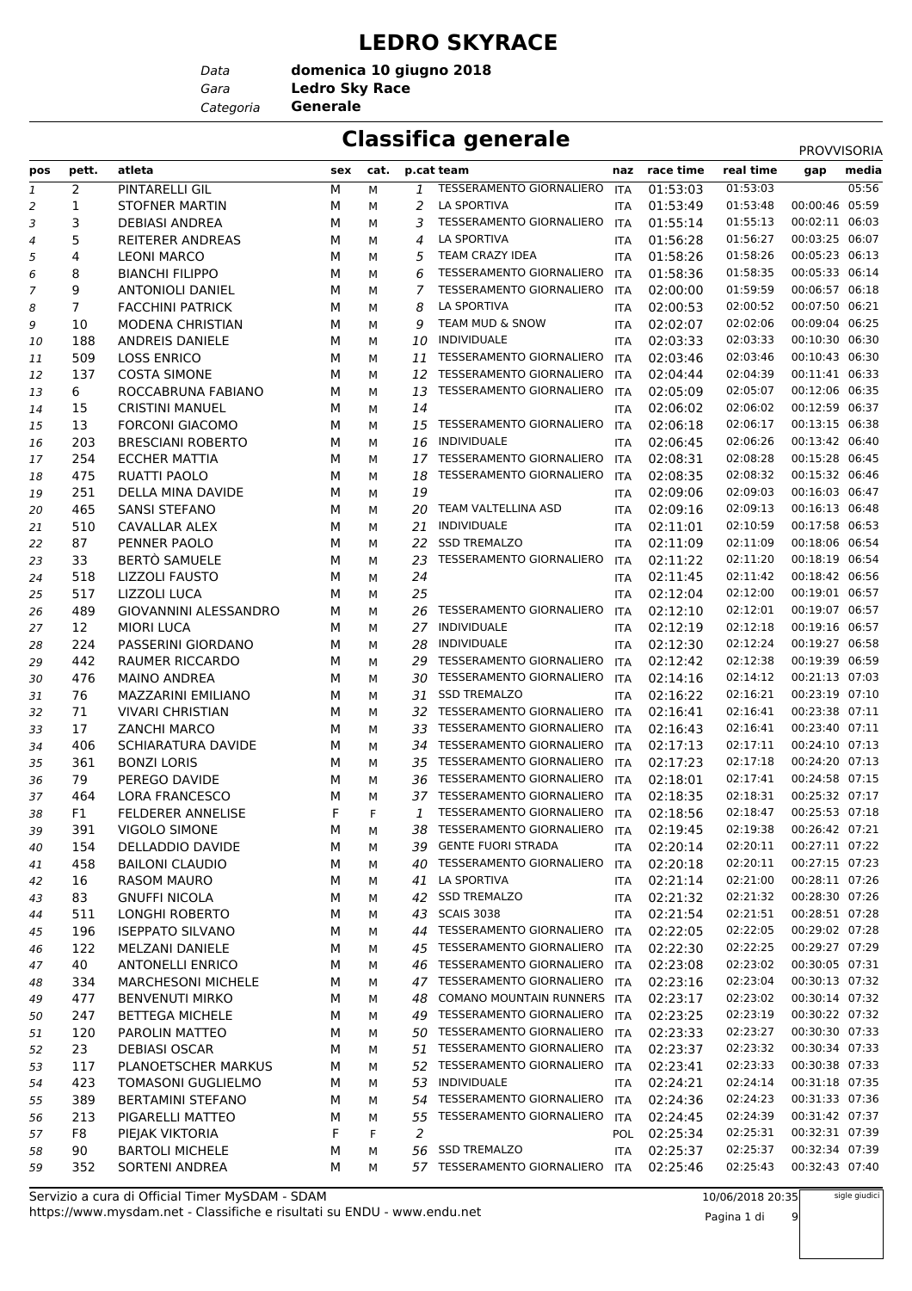#### **LEDRO SKYRACE**

*Data*

*Gara* **Ledro Sky Race domenica 10 giugno 2018**

*Categoria* **Generale**

### **Classifica generale** PROVISORI

|     |                |                           |     |      |    |                                 |            |               |           | <b>PROVVISORIA</b> |       |
|-----|----------------|---------------------------|-----|------|----|---------------------------------|------------|---------------|-----------|--------------------|-------|
| pos | pett.          | atleta                    | sex | cat. |    | p.cat team                      |            | naz race time | real time | gap                | media |
| 1   | 2              | PINTARELLI GIL            | М   | м    | 1  | <b>TESSERAMENTO GIORNALIERO</b> | ITA        | 01:53:03      | 01:53:03  |                    | 05:56 |
| 2   | 1              | <b>STOFNER MARTIN</b>     | М   | м    | 2  | <b>LA SPORTIVA</b>              | <b>ITA</b> | 01:53:49      | 01:53:48  | 00:00:46           | 05:59 |
| 3   | 3              | <b>DEBIASI ANDREA</b>     | М   | М    | 3  | <b>TESSERAMENTO GIORNALIERO</b> | <b>ITA</b> | 01:55:14      | 01:55:13  | 00:02:11 06:03     |       |
| 4   | 5              | <b>REITERER ANDREAS</b>   | М   | М    | 4  | <b>LA SPORTIVA</b>              | <b>ITA</b> | 01:56:28      | 01:56:27  | 00:03:25 06:07     |       |
| 5   | 4              | <b>LEONI MARCO</b>        | М   | М    | 5  | TEAM CRAZY IDEA                 | <b>ITA</b> | 01:58:26      | 01:58:26  | 00:05:23 06:13     |       |
| 6   | 8              | <b>BIANCHI FILIPPO</b>    | М   | м    | 6  | TESSERAMENTO GIORNALIERO        | <b>ITA</b> | 01:58:36      | 01:58:35  | 00:05:33 06:14     |       |
| 7   | 9              | <b>ANTONIOLI DANIEL</b>   | М   | М    | 7  | TESSERAMENTO GIORNALIERO        | ITA        | 02:00:00      | 01:59:59  | 00:06:57 06:18     |       |
| 8   | $\overline{7}$ | <b>FACCHINI PATRICK</b>   | М   | М    | 8  | <b>LA SPORTIVA</b>              | <b>ITA</b> | 02:00:53      | 02:00:52  | 00:07:50 06:21     |       |
| 9   | 10             | <b>MODENA CHRISTIAN</b>   | М   | М    | 9  | <b>TEAM MUD &amp; SNOW</b>      | <b>ITA</b> | 02:02:07      | 02:02:06  | 00:09:04 06:25     |       |
| 10  | 188            | <b>ANDREIS DANIELE</b>    | М   | M    | 10 | <b>INDIVIDUALE</b>              | <b>ITA</b> | 02:03:33      | 02:03:33  | 00:10:30 06:30     |       |
| 11  | 509            | <b>LOSS ENRICO</b>        | М   | М    | 11 | TESSERAMENTO GIORNALIERO        | <b>ITA</b> | 02:03:46      | 02:03:46  | 00:10:43 06:30     |       |
| 12  | 137            | <b>COSTA SIMONE</b>       | М   | М    |    | 12 TESSERAMENTO GIORNALIERO     | <b>ITA</b> | 02:04:44      | 02:04:39  | 00:11:41 06:33     |       |
| 13  | 6              | ROCCABRUNA FABIANO        | М   | м    | 13 | TESSERAMENTO GIORNALIERO        | <b>ITA</b> | 02:05:09      | 02:05:07  | 00:12:06 06:35     |       |
| 14  | 15             | <b>CRISTINI MANUEL</b>    | М   | М    | 14 |                                 | <b>ITA</b> | 02:06:02      | 02:06:02  | 00:12:59 06:37     |       |
| 15  | 13             | <b>FORCONI GIACOMO</b>    | М   | М    | 15 | TESSERAMENTO GIORNALIERO        | ITA        | 02:06:18      | 02:06:17  | 00:13:15 06:38     |       |
| 16  | 203            | <b>BRESCIANI ROBERTO</b>  | М   | м    | 16 | INDIVIDUALE                     | <b>ITA</b> | 02:06:45      | 02:06:26  | 00:13:42 06:40     |       |
| 17  | 254            | <b>ECCHER MATTIA</b>      | М   | М    | 17 | TESSERAMENTO GIORNALIERO        | <b>ITA</b> | 02:08:31      | 02:08:28  | 00:15:28 06:45     |       |
| 18  | 475            | <b>RUATTI PAOLO</b>       | М   | М    | 18 | <b>TESSERAMENTO GIORNALIERO</b> | <b>ITA</b> | 02:08:35      | 02:08:32  | 00:15:32 06:46     |       |
| 19  | 251            | DELLA MINA DAVIDE         | М   | м    | 19 |                                 | <b>ITA</b> | 02:09:06      | 02:09:03  | 00:16:03 06:47     |       |
| 20  | 465            | <b>SANSI STEFANO</b>      | М   | м    |    | 20 TEAM VALTELLINA ASD          | <b>ITA</b> | 02:09:16      | 02:09:13  | 00:16:13 06:48     |       |
| 21  | 510            | CAVALLAR ALEX             | М   | М    | 21 | <b>INDIVIDUALE</b>              | <b>ITA</b> | 02:11:01      | 02:10:59  | 00:17:58 06:53     |       |
| 22  | 87             | PENNER PAOLO              | М   | M    | 22 | <b>SSD TREMALZO</b>             | <b>ITA</b> | 02:11:09      | 02:11:09  | 00:18:06 06:54     |       |
| 23  | 33             | <b>BERTO SAMUELE</b>      | М   | М    | 23 | TESSERAMENTO GIORNALIERO        | <b>ITA</b> | 02:11:22      | 02:11:20  | 00:18:19 06:54     |       |
| 24  | 518            | <b>LIZZOLI FAUSTO</b>     | М   | М    | 24 |                                 | <b>ITA</b> | 02:11:45      | 02:11:42  | 00:18:42 06:56     |       |
| 25  | 517            | LIZZOLI LUCA              | М   | м    | 25 |                                 | <b>ITA</b> | 02:12:04      | 02:12:00  | 00:19:01 06:57     |       |
| 26  | 489            | GIOVANNINI ALESSANDRO     | М   | M    | 26 | TESSERAMENTO GIORNALIERO        | <b>ITA</b> | 02:12:10      | 02:12:01  | 00:19:07 06:57     |       |
| 27  | 12             | <b>MIORI LUCA</b>         | М   | М    | 27 | INDIVIDUALE                     | <b>ITA</b> | 02:12:19      | 02:12:18  | 00:19:16 06:57     |       |
| 28  | 224            | PASSERINI GIORDANO        | М   | М    | 28 | INDIVIDUALE                     | <b>ITA</b> | 02:12:30      | 02:12:24  | 00:19:27 06:58     |       |
| 29  | 442            | RAUMER RICCARDO           | М   | М    | 29 | <b>TESSERAMENTO GIORNALIERO</b> | <b>ITA</b> | 02:12:42      | 02:12:38  | 00:19:39 06:59     |       |
| 30  | 476            | <b>MAINO ANDREA</b>       | М   | М    |    | 30 TESSERAMENTO GIORNALIERO     | <b>ITA</b> | 02:14:16      | 02:14:12  | 00:21:13 07:03     |       |
| 31  | 76             | MAZZARINI EMILIANO        | М   | м    | 31 | <b>SSD TREMALZO</b>             | <b>ITA</b> | 02:16:22      | 02:16:21  | 00:23:19 07:10     |       |
| 32  | 71             | <b>VIVARI CHRISTIAN</b>   | М   | М    | 32 | TESSERAMENTO GIORNALIERO        | <b>ITA</b> | 02:16:41      | 02:16:41  | 00:23:38 07:11     |       |
| 33  | 17             | <b>ZANCHI MARCO</b>       | М   | М    | 33 | <b>TESSERAMENTO GIORNALIERO</b> | ITA        | 02:16:43      | 02:16:41  | 00:23:40 07:11     |       |
| 34  | 406            | <b>SCHIARATURA DAVIDE</b> | М   | M    | 34 | <b>TESSERAMENTO GIORNALIERO</b> | <b>ITA</b> | 02:17:13      | 02:17:11  | 00:24:10 07:13     |       |
| 35  | 361            | <b>BONZI LORIS</b>        | М   | М    | 35 | TESSERAMENTO GIORNALIERO        | <b>ITA</b> | 02:17:23      | 02:17:18  | 00:24:20 07:13     |       |
| 36  | 79             | PEREGO DAVIDE             | М   | М    |    | 36 TESSERAMENTO GIORNALIERO     | ITA        | 02:18:01      | 02:17:41  | 00:24:58 07:15     |       |
| 37  | 464            | <b>LORA FRANCESCO</b>     | М   | М    |    | 37 TESSERAMENTO GIORNALIERO     | ITA        | 02:18:35      | 02:18:31  | 00:25:32 07:17     |       |
| 38  | F1             | <b>FELDERER ANNELISE</b>  | F   | F    | 1  | TESSERAMENTO GIORNALIERO        | <b>ITA</b> | 02:18:56      | 02:18:47  | 00:25:53 07:18     |       |
| 39  | 391            | <b>VIGOLO SIMONE</b>      | М   | М    | 38 | TESSERAMENTO GIORNALIERO        | ITA        | 02:19:45      | 02:19:38  | 00:26:42 07:21     |       |
| 40  | 154            | DELLADDIO DAVIDE          | М   | М    | 39 | <b>GENTE FUORI STRADA</b>       | <b>ITA</b> | 02:20:14      | 02:20:11  | 00:27:11 07:22     |       |
| 41  | 458            | <b>BAILONI CLAUDIO</b>    | М   | М    | 40 | TESSERAMENTO GIORNALIERO        | <b>ITA</b> | 02:20:18      | 02:20:11  | 00:27:15 07:23     |       |
| 42  | 16             | <b>RASOM MAURO</b>        | М   | М    |    | 41 LA SPORTIVA                  | ITA        | 02:21:14      | 02:21:00  | 00:28:11 07:26     |       |
| 43  | 83             | <b>GNUFFI NICOLA</b>      | М   | М    | 42 | <b>SSD TREMALZO</b>             | <b>ITA</b> | 02:21:32      | 02:21:32  | 00:28:30 07:26     |       |
| 44  | 511            | LONGHI ROBERTO            | М   | М    | 43 | <b>SCAIS 3038</b>               | <b>ITA</b> | 02:21:54      | 02:21:51  | 00:28:51 07:28     |       |
| 45  | 196            | <b>ISEPPATO SILVANO</b>   | М   | М    |    | 44 TESSERAMENTO GIORNALIERO     | ITA        | 02:22:05      | 02:22:05  | 00:29:02 07:28     |       |
| 46  | 122            | MELZANI DANIELE           | М   | м    | 45 | TESSERAMENTO GIORNALIERO        | ITA        | 02:22:30      | 02:22:25  | 00:29:27 07:29     |       |
| 47  | 40             | <b>ANTONELLI ENRICO</b>   | М   | М    |    | 46 TESSERAMENTO GIORNALIERO     | ITA        | 02:23:08      | 02:23:02  | 00:30:05 07:31     |       |
| 48  | 334            | <b>MARCHESONI MICHELE</b> | М   | м    |    | 47 TESSERAMENTO GIORNALIERO     | ITA        | 02:23:16      | 02:23:04  | 00:30:13 07:32     |       |
| 49  | 477            | <b>BENVENUTI MIRKO</b>    | М   | М    | 48 | COMANO MOUNTAIN RUNNERS ITA     |            | 02:23:17      | 02:23:02  | 00:30:14 07:32     |       |
| 50  | 247            | <b>BETTEGA MICHELE</b>    | М   | М    |    | 49 TESSERAMENTO GIORNALIERO     | ITA        | 02:23:25      | 02:23:19  | 00:30:22 07:32     |       |
| 51  | 120            | PAROLIN MATTEO            | М   | М    |    | 50 TESSERAMENTO GIORNALIERO     | ITA        | 02:23:33      | 02:23:27  | 00:30:30 07:33     |       |
| 52  | 23             | <b>DEBIASI OSCAR</b>      | М   | м    | 51 | TESSERAMENTO GIORNALIERO        | ITA        | 02:23:37      | 02:23:32  | 00:30:34 07:33     |       |
| 53  | 117            | PLANOETSCHER MARKUS       | М   | М    |    | 52 TESSERAMENTO GIORNALIERO     | ITA        | 02:23:41      | 02:23:33  | 00:30:38 07:33     |       |
| 54  | 423            | <b>TOMASONI GUGLIELMO</b> | М   | М    | 53 | INDIVIDUALE                     | <b>ITA</b> | 02:24:21      | 02:24:14  | 00:31:18 07:35     |       |
| 55  | 389            | <b>BERTAMINI STEFANO</b>  | М   | м    |    | 54 TESSERAMENTO GIORNALIERO     | <b>ITA</b> | 02:24:36      | 02:24:23  | 00:31:33 07:36     |       |
| 56  | 213            | PIGARELLI MATTEO          | М   | м    | 55 | TESSERAMENTO GIORNALIERO        | ITA        | 02:24:45      | 02:24:39  | 00:31:42 07:37     |       |
| 57  | F8             | PIEJAK VIKTORIA           | F   | F    | 2  |                                 | <b>POL</b> | 02:25:34      | 02:25:31  | 00:32:31 07:39     |       |
| 58  | 90             | <b>BARTOLI MICHELE</b>    | М   | М    | 56 | <b>SSD TREMALZO</b>             | <b>ITA</b> | 02:25:37      | 02:25:37  | 00:32:34 07:39     |       |
| 59  | 352            | SORTENI ANDREA            | М   | М    |    | 57 TESSERAMENTO GIORNALIERO     | ITA        | 02:25:46      | 02:25:43  | 00:32:43 07:40     |       |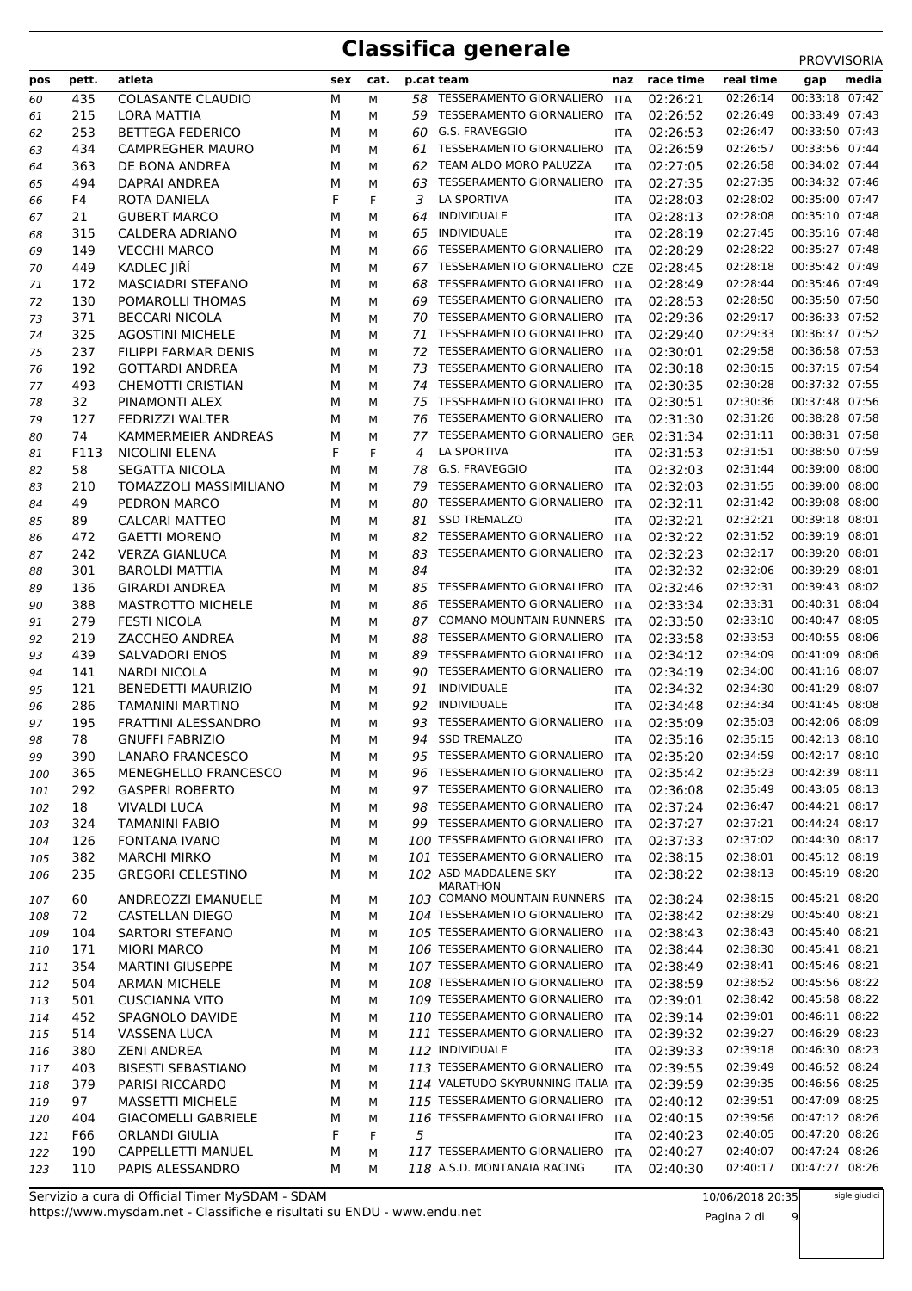|            |       |                             |        |        |    |                                                    |            |               |           | <b>FRUVVIJURIA</b> |
|------------|-------|-----------------------------|--------|--------|----|----------------------------------------------------|------------|---------------|-----------|--------------------|
| pos        | pett. | atleta                      | sex    | cat.   |    | p.cat team                                         |            | naz race time | real time | media<br>gap       |
| 60         | 435   | <b>COLASANTE CLAUDIO</b>    | M      | М      |    | 58 TESSERAMENTO GIORNALIERO                        | ITA        | 02:26:21      | 02:26:14  | 00:33:18 07:42     |
| 61         | 215   | LORA MATTIA                 | М      | M      | 59 | <b>TESSERAMENTO GIORNALIERO</b>                    | ITA        | 02:26:52      | 02:26:49  | 00:33:49 07:43     |
| 62         | 253   | <b>BETTEGA FEDERICO</b>     | М      | M      | 60 | G.S. FRAVEGGIO                                     | ITA        | 02:26:53      | 02:26:47  | 00:33:50 07:43     |
| 63         | 434   | <b>CAMPREGHER MAURO</b>     | М      | М      | 61 | TESSERAMENTO GIORNALIERO                           | <b>ITA</b> | 02:26:59      | 02:26:57  | 00:33:56 07:44     |
| 64         | 363   | DE BONA ANDREA              | М      | М      | 62 | TEAM ALDO MORO PALUZZA                             | <b>ITA</b> | 02:27:05      | 02:26:58  | 00:34:02 07:44     |
| 65         | 494   | DAPRAI ANDREA               | М      | M      | 63 | TESSERAMENTO GIORNALIERO                           | <b>ITA</b> | 02:27:35      | 02:27:35  | 00:34:32 07:46     |
| 66         | F4    | ROTA DANIELA                | F      | F      | 3  | LA SPORTIVA                                        | <b>ITA</b> | 02:28:03      | 02:28:02  | 00:35:00 07:47     |
| 67         | 21    | <b>GUBERT MARCO</b>         | М      | М      | 64 | INDIVIDUALE                                        | <b>ITA</b> | 02:28:13      | 02:28:08  | 00:35:10 07:48     |
| 68         | 315   | CALDERA ADRIANO             | М      | M      | 65 | INDIVIDUALE                                        | <b>ITA</b> | 02:28:19      | 02:27:45  | 00:35:16 07:48     |
| 69         | 149   | <b>VECCHI MARCO</b>         | М      | М      | 66 | TESSERAMENTO GIORNALIERO                           | <b>ITA</b> | 02:28:29      | 02:28:22  | 00:35:27 07:48     |
| 70         | 449   | KADLEC JIŘÍ                 | М      | М      |    | 67 TESSERAMENTO GIORNALIERO                        | <b>CZE</b> | 02:28:45      | 02:28:18  | 00:35:42 07:49     |
| 71         | 172   | <b>MASCIADRI STEFANO</b>    | М      | М      | 68 | TESSERAMENTO GIORNALIERO                           | <b>ITA</b> | 02:28:49      | 02:28:44  | 00:35:46 07:49     |
| 72         | 130   | POMAROLLI THOMAS            | М      | М      | 69 | TESSERAMENTO GIORNALIERO                           | ITA        | 02:28:53      | 02:28:50  | 00:35:50 07:50     |
| 73         | 371   | <b>BECCARI NICOLA</b>       | М      | М      | 70 | TESSERAMENTO GIORNALIERO                           | ITA        | 02:29:36      | 02:29:17  | 00:36:33 07:52     |
| 74         | 325   | <b>AGOSTINI MICHELE</b>     | М      | М      | 71 | TESSERAMENTO GIORNALIERO                           | <b>ITA</b> | 02:29:40      | 02:29:33  | 00:36:37 07:52     |
| 75         | 237   | FILIPPI FARMAR DENIS        | М      | М      |    | 72 TESSERAMENTO GIORNALIERO                        | <b>ITA</b> | 02:30:01      | 02:29:58  | 00:36:58 07:53     |
| 76         | 192   | <b>GOTTARDI ANDREA</b>      | М      | М      | 73 | <b>TESSERAMENTO GIORNALIERO</b>                    | <b>ITA</b> | 02:30:18      | 02:30:15  | 00:37:15 07:54     |
| 77         | 493   | <b>CHEMOTTI CRISTIAN</b>    | М      | М      |    | 74 TESSERAMENTO GIORNALIERO                        | <b>ITA</b> | 02:30:35      | 02:30:28  | 00:37:32 07:55     |
| 78         | 32    | PINAMONTI ALEX              | М      | М      | 75 | <b>TESSERAMENTO GIORNALIERO</b>                    | ITA        | 02:30:51      | 02:30:36  | 00:37:48 07:56     |
| 79         | 127   | <b>FEDRIZZI WALTER</b>      | М      | M      | 76 | TESSERAMENTO GIORNALIERO                           | <b>ITA</b> | 02:31:30      | 02:31:26  | 00:38:28 07:58     |
| 80         | 74    | KAMMERMEIER ANDREAS         | М      | M      | 77 | TESSERAMENTO GIORNALIERO                           | <b>GER</b> | 02:31:34      | 02:31:11  | 00:38:31 07:58     |
| 81         | F113  | NICOLINI ELENA              | F      | F      | 4  | <b>LA SPORTIVA</b>                                 | <b>ITA</b> | 02:31:53      | 02:31:51  | 00:38:50 07:59     |
| 82         | 58    | SEGATTA NICOLA              | М      | М      | 78 | G.S. FRAVEGGIO                                     | <b>ITA</b> | 02:32:03      | 02:31:44  | 00:39:00 08:00     |
| 83         | 210   | TOMAZZOLI MASSIMILIANO      | М      | М      | 79 | <b>TESSERAMENTO GIORNALIERO</b>                    | <b>ITA</b> | 02:32:03      | 02:31:55  | 00:39:00 08:00     |
| 84         | 49    | PEDRON MARCO                | М      | М      | 80 | TESSERAMENTO GIORNALIERO                           | ITA        | 02:32:11      | 02:31:42  | 00:39:08 08:00     |
| 85         | 89    | CALCARI MATTEO              | М      | М      | 81 | <b>SSD TREMALZO</b>                                | <b>ITA</b> | 02:32:21      | 02:32:21  | 00:39:18 08:01     |
| 86         | 472   | <b>GAETTI MORENO</b>        | М      | M      | 82 | TESSERAMENTO GIORNALIERO                           | <b>ITA</b> | 02:32:22      | 02:31:52  | 00:39:19 08:01     |
| 87         | 242   | <b>VERZA GIANLUCA</b>       | М      | М      | 83 | <b>TESSERAMENTO GIORNALIERO</b>                    | <b>ITA</b> | 02:32:23      | 02:32:17  | 00:39:20 08:01     |
| 88         | 301   | <b>BAROLDI MATTIA</b>       | М      | М      | 84 |                                                    | <b>ITA</b> | 02:32:32      | 02:32:06  | 00:39:29 08:01     |
| 89         | 136   | <b>GIRARDI ANDREA</b>       | М      | М      | 85 | TESSERAMENTO GIORNALIERO                           | <b>ITA</b> | 02:32:46      | 02:32:31  | 00:39:43 08:02     |
| 90         | 388   | <b>MASTROTTO MICHELE</b>    | М      | М      | 86 | <b>TESSERAMENTO GIORNALIERO</b>                    | ITA        | 02:33:34      | 02:33:31  | 00:40:31 08:04     |
| 91         | 279   | <b>FESTI NICOLA</b>         | М      | M      | 87 | COMANO MOUNTAIN RUNNERS ITA                        |            | 02:33:50      | 02:33:10  | 00:40:47 08:05     |
| 92         | 219   | ZACCHEO ANDREA              | М      | М      | 88 | TESSERAMENTO GIORNALIERO                           | <b>ITA</b> | 02:33:58      | 02:33:53  | 00:40:55 08:06     |
| 93         | 439   | <b>SALVADORI ENOS</b>       | М      | М      | 89 | <b>TESSERAMENTO GIORNALIERO</b>                    | ITA        | 02:34:12      | 02:34:09  | 00:41:09 08:06     |
| 94         | 141   | <b>NARDI NICOLA</b>         | М      | М      | 90 | <b>TESSERAMENTO GIORNALIERO</b>                    | <b>ITA</b> | 02:34:19      | 02:34:00  | 00:41:16 08:07     |
| 95         | 121   | <b>BENEDETTI MAURIZIO</b>   | М      | М      | 91 | INDIVIDUALE                                        | <b>ITA</b> | 02:34:32      | 02:34:30  | 00:41:29 08:07     |
| 96         | 286   | <b>TAMANINI MARTINO</b>     | М      | М      | 92 | <b>INDIVIDUALE</b>                                 | <b>ITA</b> | 02:34:48      | 02:34:34  | 00:41:45 08:08     |
| 97         | 195   | <b>FRATTINI ALESSANDRO</b>  | М      | М      | 93 | TESSERAMENTO GIORNALIERO                           | <b>ITA</b> | 02:35:09      | 02:35:03  | 00:42:06 08:09     |
| 98         | 78    | <b>GNUFFI FABRIZIO</b>      | М      | М      | 94 | <b>SSD TREMALZO</b>                                | <b>ITA</b> | 02:35:16      | 02:35:15  | 00:42:13 08:10     |
| 99         | 390   | <b>LANARO FRANCESCO</b>     | м      | М      |    | 95 TESSERAMENTO GIORNALIERO                        | ITA        | 02:35:20      | 02:34:59  | 00:42:17 08:10     |
| 100        | 365   | <b>MENEGHELLO FRANCESCO</b> | м      | М      |    | 96 TESSERAMENTO GIORNALIERO                        | <b>ITA</b> | 02:35:42      | 02:35:23  | 00:42:39 08:11     |
| 101        | 292   | <b>GASPERI ROBERTO</b>      | М      | М      |    | 97 TESSERAMENTO GIORNALIERO                        | ITA        | 02:36:08      | 02:35:49  | 00:43:05 08:13     |
| 102        | 18    | <b>VIVALDI LUCA</b>         | М      | М      |    | 98 TESSERAMENTO GIORNALIERO                        | ITA        | 02:37:24      | 02:36:47  | 00:44:21 08:17     |
| 103        | 324   | <b>TAMANINI FABIO</b>       | М      | М      |    | 99 TESSERAMENTO GIORNALIERO                        | ITA        | 02:37:27      | 02:37:21  | 00:44:24 08:17     |
| 104        | 126   | <b>FONTANA IVANO</b>        | М      | М      |    | 100 TESSERAMENTO GIORNALIERO                       | ITA        | 02:37:33      | 02:37:02  | 00:44:30 08:17     |
| 105        | 382   | <b>MARCHI MIRKO</b>         | м      | м      |    | 101 TESSERAMENTO GIORNALIERO                       | ITA        | 02:38:15      | 02:38:01  | 00:45:12 08:19     |
| 106        | 235   | <b>GREGORI CELESTINO</b>    | М      | м      |    | 102 ASD MADDALENE SKY                              | ITA        | 02:38:22      | 02:38:13  | 00:45:19 08:20     |
| 107        | 60    | ANDREOZZI EMANUELE          | м      | М      |    | <b>MARATHON</b><br>103 COMANO MOUNTAIN RUNNERS ITA |            | 02:38:24      | 02:38:15  | 00:45:21 08:20     |
|            | 72    | <b>CASTELLAN DIEGO</b>      | М      |        |    | 104 TESSERAMENTO GIORNALIERO                       | ITA        | 02:38:42      | 02:38:29  | 00:45:40 08:21     |
| 108        | 104   | <b>SARTORI STEFANO</b>      | М      | М<br>М |    | 105 TESSERAMENTO GIORNALIERO                       | ITA        | 02:38:43      | 02:38:43  | 00:45:40 08:21     |
| 109<br>110 | 171   | <b>MIORI MARCO</b>          | м      | М      |    | 106 TESSERAMENTO GIORNALIERO                       | ITA        | 02:38:44      | 02:38:30  | 00:45:41 08:21     |
| 111        | 354   | <b>MARTINI GIUSEPPE</b>     | м      | М      |    | 107 TESSERAMENTO GIORNALIERO                       | <b>ITA</b> | 02:38:49      | 02:38:41  | 00:45:46 08:21     |
| 112        | 504   | <b>ARMAN MICHELE</b>        | М      | М      |    | 108 TESSERAMENTO GIORNALIERO                       | ITA        | 02:38:59      | 02:38:52  | 00:45:56 08:22     |
| 113        | 501   | <b>CUSCIANNA VITO</b>       | м      | М      |    | 109 TESSERAMENTO GIORNALIERO                       | ITA        | 02:39:01      | 02:38:42  | 00:45:58 08:22     |
|            | 452   | SPAGNOLO DAVIDE             |        |        |    | 110 TESSERAMENTO GIORNALIERO                       | <b>ITA</b> | 02:39:14      | 02:39:01  | 00:46:11 08:22     |
| 114<br>115 | 514   | <b>VASSENA LUCA</b>         | м<br>М | М<br>М |    | 111 TESSERAMENTO GIORNALIERO                       | <b>ITA</b> | 02:39:32      | 02:39:27  | 00:46:29 08:23     |
| 116        | 380   | <b>ZENI ANDREA</b>          | м      | М      |    | 112 INDIVIDUALE                                    | ITA        | 02:39:33      | 02:39:18  | 00:46:30 08:23     |
| 117        | 403   | <b>BISESTI SEBASTIANO</b>   | м      | М      |    | 113 TESSERAMENTO GIORNALIERO                       | <b>ITA</b> | 02:39:55      | 02:39:49  | 00:46:52 08:24     |
| 118        | 379   | PARISI RICCARDO             | М      | М      |    | 114 VALETUDO SKYRUNNING ITALIA ITA                 |            | 02:39:59      | 02:39:35  | 00:46:56 08:25     |
| 119        | 97    | <b>MASSETTI MICHELE</b>     | М      | М      |    | 115 TESSERAMENTO GIORNALIERO                       | ITA        | 02:40:12      | 02:39:51  | 00:47:09 08:25     |
| 120        | 404   | <b>GIACOMELLI GABRIELE</b>  | М      | М      |    | 116 TESSERAMENTO GIORNALIERO                       | ITA        | 02:40:15      | 02:39:56  | 00:47:12 08:26     |
| 121        | F66   | ORLANDI GIULIA              | F      | F      | 5  |                                                    | <b>ITA</b> | 02:40:23      | 02:40:05  | 00:47:20 08:26     |
| 122        | 190   | CAPPELLETTI MANUEL          | м      | М      |    | 117 TESSERAMENTO GIORNALIERO                       | ITA        | 02:40:27      | 02:40:07  | 00:47:24 08:26     |
| 123        | 110   | PAPIS ALESSANDRO            | М      | М      |    | $118\,$ A.S.D. MONTANAIA RACING                    | ITA        | 02:40:30      | 02:40:17  | 00:47:27 08:26     |
|            |       |                             |        |        |    |                                                    |            |               |           |                    |

sigle giudici

Pagina 2 di 9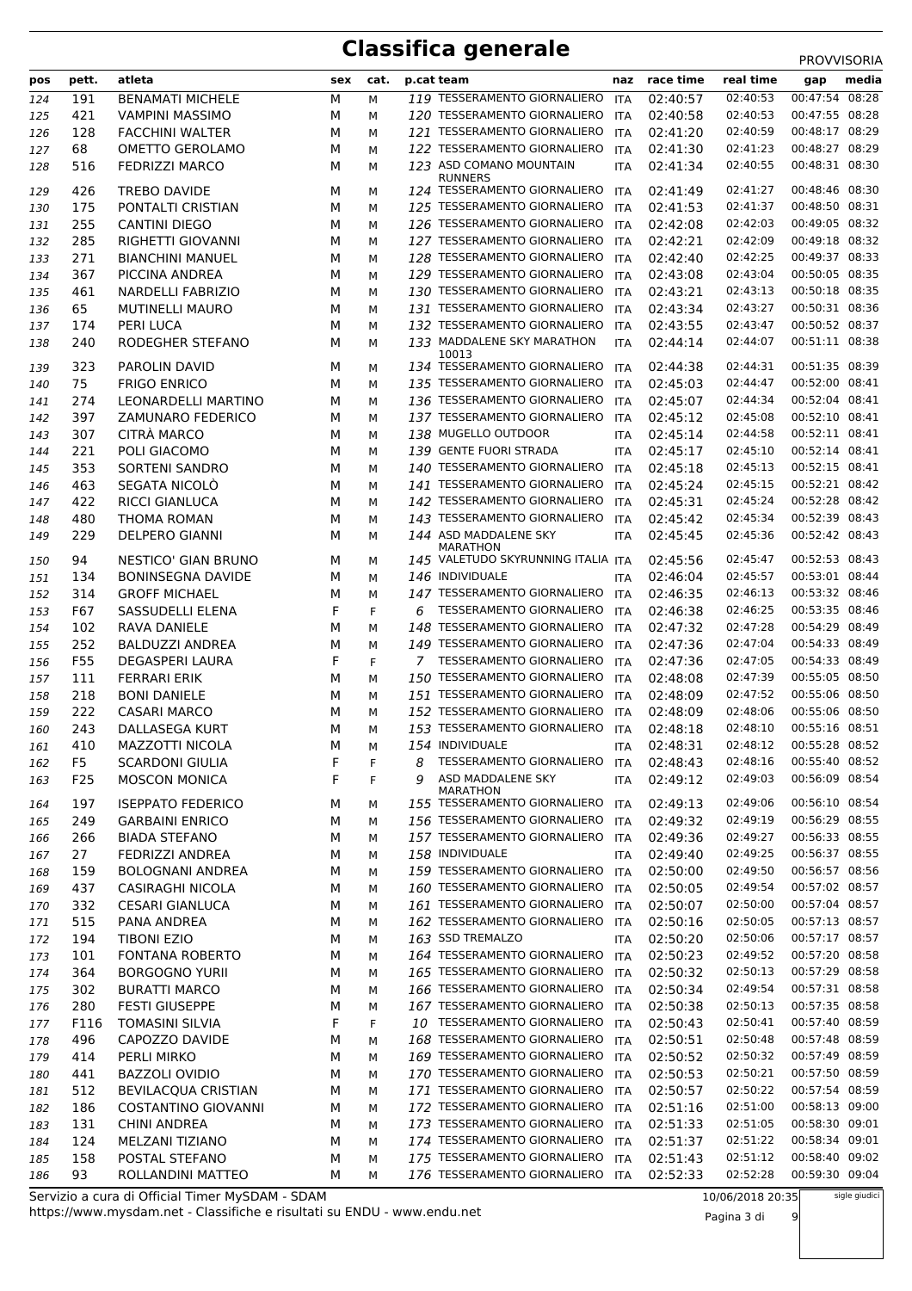| pos | pett.           | atleta                     | sex | cat. |   | p.cat team                                     | naz        | race time | real time | media<br>gap      |
|-----|-----------------|----------------------------|-----|------|---|------------------------------------------------|------------|-----------|-----------|-------------------|
| 124 | 191             | <b>BENAMATI MICHELE</b>    | M   | M    |   | 119 TESSERAMENTO GIORNALIERO                   | <b>ITA</b> | 02:40:57  | 02:40:53  | 00:47:54<br>08:28 |
| 125 | 421             | <b>VAMPINI MASSIMO</b>     | М   | М    |   | 120 TESSERAMENTO GIORNALIERO                   | <b>ITA</b> | 02:40:58  | 02:40:53  | 00:47:55 08:28    |
| 126 | 128             | <b>FACCHINI WALTER</b>     | М   | м    |   | 121 TESSERAMENTO GIORNALIERO                   | ITA        | 02:41:20  | 02:40:59  | 00:48:17 08:29    |
| 127 | 68              | OMETTO GEROLAMO            | М   | М    |   | 122 TESSERAMENTO GIORNALIERO                   | ITA        | 02:41:30  | 02:41:23  | 00:48:27 08:29    |
| 128 | 516             | <b>FEDRIZZI MARCO</b>      | м   | м    |   | 123 ASD COMANO MOUNTAIN                        | ITA        | 02:41:34  | 02:40:55  | 00:48:31 08:30    |
|     |                 |                            |     |      |   | <b>RUNNERS</b>                                 |            |           |           |                   |
| 129 | 426             | <b>TREBO DAVIDE</b>        | М   | м    |   | 124 TESSERAMENTO GIORNALIERO                   | ITA        | 02:41:49  | 02:41:27  | 00:48:46 08:30    |
| 130 | 175             | PONTALTI CRISTIAN          | М   | М    |   | 125 TESSERAMENTO GIORNALIERO                   | ITA        | 02:41:53  | 02:41:37  | 00:48:50 08:31    |
| 131 | 255             | <b>CANTINI DIEGO</b>       | М   | м    |   | 126 TESSERAMENTO GIORNALIERO                   | ITA        | 02:42:08  | 02:42:03  | 00:49:05 08:32    |
| 132 | 285             | RIGHETTI GIOVANNI          | М   | М    |   | 127 TESSERAMENTO GIORNALIERO                   | <b>ITA</b> | 02:42:21  | 02:42:09  | 00:49:18 08:32    |
| 133 | 271             | <b>BIANCHINI MANUEL</b>    | м   | м    |   | 128 TESSERAMENTO GIORNALIERO                   | ITA        | 02:42:40  | 02:42:25  | 00:49:37 08:33    |
| 134 | 367             | PICCINA ANDREA             | М   | м    |   | 129 TESSERAMENTO GIORNALIERO                   | ITA        | 02:43:08  | 02:43:04  | 00:50:05 08:35    |
| 135 | 461             | NARDELLI FABRIZIO          | М   | М    |   | 130 TESSERAMENTO GIORNALIERO                   | ITA        | 02:43:21  | 02:43:13  | 00:50:18 08:35    |
| 136 | 65              | <b>MUTINELLI MAURO</b>     | М   | М    |   | 131 TESSERAMENTO GIORNALIERO                   | ITA        | 02:43:34  | 02:43:27  | 00:50:31 08:36    |
| 137 | 174             | PERI LUCA                  | М   | М    |   | 132 TESSERAMENTO GIORNALIERO                   | ITA        | 02:43:55  | 02:43:47  | 00:50:52 08:37    |
| 138 | 240             | RODEGHER STEFANO           | М   | М    |   | 133 MADDALENE SKY MARATHON                     | <b>ITA</b> | 02:44:14  | 02:44:07  | 00:51:11 08:38    |
|     |                 |                            |     |      |   | 10013                                          |            |           |           |                   |
| 139 | 323             | <b>PAROLIN DAVID</b>       | М   | М    |   | 134 TESSERAMENTO GIORNALIERO                   | ITA        | 02:44:38  | 02:44:31  | 00:51:35 08:39    |
| 140 | 75              | <b>FRIGO ENRICO</b>        | М   | М    |   | 135 TESSERAMENTO GIORNALIERO                   | ITA        | 02:45:03  | 02:44:47  | 00:52:00 08:41    |
| 141 | 274             | <b>LEONARDELLI MARTINO</b> | М   | М    |   | 136 TESSERAMENTO GIORNALIERO                   | <b>ITA</b> | 02:45:07  | 02:44:34  | 00:52:04 08:41    |
| 142 | 397             | ZAMUNARO FEDERICO          | М   | М    |   | 137 TESSERAMENTO GIORNALIERO                   | <b>ITA</b> | 02:45:12  | 02:45:08  | 00:52:10 08:41    |
| 143 | 307             | CITRÀ MARCO                | М   | М    |   | 138 MUGELLO OUTDOOR                            | <b>ITA</b> | 02:45:14  | 02:44:58  | 00:52:11 08:41    |
| 144 | 221             | POLI GIACOMO               | м   | м    |   | 139 GENTE FUORI STRADA                         | <b>ITA</b> | 02:45:17  | 02:45:10  | 00:52:14 08:41    |
|     | 353             | <b>SORTENI SANDRO</b>      |     |      |   | 140 TESSERAMENTO GIORNALIERO                   |            | 02:45:18  | 02:45:13  | 00:52:15 08:41    |
| 145 |                 |                            | М   | м    |   | 141 TESSERAMENTO GIORNALIERO                   | ITA        |           | 02:45:15  | 00:52:21 08:42    |
| 146 | 463             | SEGATA NICOLÒ              | М   | М    |   |                                                | ITA        | 02:45:24  |           |                   |
| 147 | 422             | RICCI GIANLUCA             | М   | М    |   | 142 TESSERAMENTO GIORNALIERO                   | <b>ITA</b> | 02:45:31  | 02:45:24  | 00:52:28 08:42    |
| 148 | 480             | THOMA ROMAN                | М   | м    |   | 143 TESSERAMENTO GIORNALIERO                   | ITA        | 02:45:42  | 02:45:34  | 00:52:39 08:43    |
| 149 | 229             | <b>DELPERO GIANNI</b>      | М   | М    |   | 144 ASD MADDALENE SKY                          | <b>ITA</b> | 02:45:45  | 02:45:36  | 00:52:42 08:43    |
| 150 | 94              | NESTICO' GIAN BRUNO        | М   | м    |   | MARATHON<br>145 VALETUDO SKYRUNNING ITALIA ITA |            | 02:45:56  | 02:45:47  | 00:52:53 08:43    |
| 151 | 134             | <b>BONINSEGNA DAVIDE</b>   | М   | М    |   | 146 INDIVIDUALE                                | <b>ITA</b> | 02:46:04  | 02:45:57  | 00:53:01 08:44    |
|     | 314             | <b>GROFF MICHAEL</b>       | M   |      |   | 147 TESSERAMENTO GIORNALIERO                   |            | 02:46:35  | 02:46:13  | 00:53:32 08:46    |
| 152 |                 |                            |     | М    |   |                                                | <b>ITA</b> |           |           |                   |
| 153 | F67             | SASSUDELLI ELENA           | F   | F    | 6 | TESSERAMENTO GIORNALIERO                       | ITA        | 02:46:38  | 02:46:25  | 00:53:35 08:46    |
| 154 | 102             | RAVA DANIELE               | М   | М    |   | 148 TESSERAMENTO GIORNALIERO                   | ITA        | 02:47:32  | 02:47:28  | 00:54:29 08:49    |
| 155 | 252             | <b>BALDUZZI ANDREA</b>     | M   | М    |   | 149 TESSERAMENTO GIORNALIERO                   | <b>ITA</b> | 02:47:36  | 02:47:04  | 00:54:33 08:49    |
| 156 | F55             | <b>DEGASPERI LAURA</b>     | F   | F    |   | 7 TESSERAMENTO GIORNALIERO                     | ITA        | 02:47:36  | 02:47:05  | 00:54:33 08:49    |
| 157 | 111             | <b>FERRARI ERIK</b>        | М   | М    |   | 150 TESSERAMENTO GIORNALIERO                   | ITA        | 02:48:08  | 02:47:39  | 00:55:05 08:50    |
| 158 | 218             | <b>BONI DANIELE</b>        | м   | М    |   | 151 TESSERAMENTO GIORNALIERO                   | ITA        | 02:48:09  | 02:47:52  | 00:55:06 08:50    |
| 159 | 222             | <b>CASARI MARCO</b>        | М   | М    |   | 152 TESSERAMENTO GIORNALIERO                   | ITA        | 02:48:09  | 02:48:06  | 00:55:06 08:50    |
| 160 | 243             | <b>DALLASEGA KURT</b>      | м   | М    |   | 153 TESSERAMENTO GIORNALIERO                   | ITA        | 02:48:18  | 02:48:10  | 00:55:16 08:51    |
| 161 | 410             | MAZZOTTI NICOLA            | м   | м    |   | 154 INDIVIDUALE                                | ITA        | 02:48:31  | 02:48:12  | 00:55:28 08:52    |
| 162 | F <sub>5</sub>  | <b>SCARDONI GIULIA</b>     | F   | F    | 8 | TESSERAMENTO GIORNALIERO                       | ITA        | 02:48:43  | 02:48:16  | 00:55:40 08:52    |
| 163 | F <sub>25</sub> | <b>MOSCON MONICA</b>       | F   | F    | 9 | ASD MADDALENE SKY                              | ITA        | 02:49:12  | 02:49:03  | 00:56:09 08:54    |
|     |                 |                            |     |      |   | MARATHON                                       |            |           |           |                   |
| 164 | 197             | <b>ISEPPATO FEDERICO</b>   | М   | М    |   | 155 TESSERAMENTO GIORNALIERO                   | ITA        | 02:49:13  | 02:49:06  | 00:56:10 08:54    |
| 165 | 249             | <b>GARBAINI ENRICO</b>     | М   | М    |   | 156 TESSERAMENTO GIORNALIERO                   | ITA        | 02:49:32  | 02:49:19  | 00:56:29 08:55    |
| 166 | 266             | <b>BIADA STEFANO</b>       | М   | М    |   | 157 TESSERAMENTO GIORNALIERO                   | ITA        | 02:49:36  | 02:49:27  | 00:56:33 08:55    |
| 167 | 27              | FEDRIZZI ANDREA            | М   | М    |   | 158 INDIVIDUALE                                | ITA        | 02:49:40  | 02:49:25  | 00:56:37 08:55    |
| 168 | 159             | <b>BOLOGNANI ANDREA</b>    | М   | М    |   | 159 TESSERAMENTO GIORNALIERO                   | ITA        | 02:50:00  | 02:49:50  | 00:56:57 08:56    |
| 169 | 437             | CASIRAGHI NICOLA           | М   | М    |   | 160 TESSERAMENTO GIORNALIERO                   | ITA        | 02:50:05  | 02:49:54  | 00:57:02 08:57    |
| 170 | 332             | <b>CESARI GIANLUCA</b>     | М   | М    |   | 161 TESSERAMENTO GIORNALIERO                   | ITA        | 02:50:07  | 02:50:00  | 00:57:04 08:57    |
| 171 | 515             | PANA ANDREA                | М   | М    |   | 162 TESSERAMENTO GIORNALIERO                   | ITA        | 02:50:16  | 02:50:05  | 00:57:13 08:57    |
| 172 | 194             | TIBONI EZIO                | М   |      |   | 163 SSD TREMALZO                               |            | 02:50:20  | 02:50:06  | 00:57:17 08:57    |
|     |                 |                            |     | М    |   | 164 TESSERAMENTO GIORNALIERO                   | ITA        |           | 02:49:52  | 00:57:20 08:58    |
| 173 | 101             | <b>FONTANA ROBERTO</b>     | М   | М    |   |                                                | ITA        | 02:50:23  |           |                   |
| 174 | 364             | <b>BORGOGNO YURII</b>      | М   | М    |   | 165 TESSERAMENTO GIORNALIERO                   | ITA        | 02:50:32  | 02:50:13  | 00:57:29 08:58    |
| 175 | 302             | <b>BURATTI MARCO</b>       | М   | М    |   | 166 TESSERAMENTO GIORNALIERO                   | ITA        | 02:50:34  | 02:49:54  | 00:57:31 08:58    |
| 176 | 280             | <b>FESTI GIUSEPPE</b>      | М   | М    |   | 167 TESSERAMENTO GIORNALIERO                   | ITA        | 02:50:38  | 02:50:13  | 00:57:35 08:58    |
| 177 | F116            | <b>TOMASINI SILVIA</b>     | F   | F    |   | 10 TESSERAMENTO GIORNALIERO                    | ITA        | 02:50:43  | 02:50:41  | 00:57:40 08:59    |
| 178 | 496             | CAPOZZO DAVIDE             | М   | М    |   | 168 TESSERAMENTO GIORNALIERO                   | ITA        | 02:50:51  | 02:50:48  | 00:57:48 08:59    |
| 179 | 414             | PERLI MIRKO                | М   | М    |   | 169 TESSERAMENTO GIORNALIERO                   | ITA        | 02:50:52  | 02:50:32  | 00:57:49 08:59    |
| 180 | 441             | <b>BAZZOLI OVIDIO</b>      | М   | М    |   | 170 TESSERAMENTO GIORNALIERO ITA               |            | 02:50:53  | 02:50:21  | 00:57:50 08:59    |
| 181 | 512             | <b>BEVILACQUA CRISTIAN</b> | М   | М    |   | 171 TESSERAMENTO GIORNALIERO                   | ITA        | 02:50:57  | 02:50:22  | 00:57:54 08:59    |
| 182 | 186             | <b>COSTANTINO GIOVANNI</b> | М   | М    |   | 172 TESSERAMENTO GIORNALIERO                   | ITA        | 02:51:16  | 02:51:00  | 00:58:13 09:00    |
| 183 | 131             | <b>CHINI ANDREA</b>        | М   | М    |   | 173 TESSERAMENTO GIORNALIERO                   | ITA        | 02:51:33  | 02:51:05  | 00:58:30 09:01    |
| 184 | 124             | MELZANI TIZIANO            | М   | М    |   | 174 TESSERAMENTO GIORNALIERO                   | ITA        | 02:51:37  | 02:51:22  | 00:58:34 09:01    |
| 185 | 158             | POSTAL STEFANO             | М   | М    |   | 175 TESSERAMENTO GIORNALIERO                   | ITA        | 02:51:43  | 02:51:12  | 00:58:40 09:02    |
| 186 | 93              | ROLLANDINI MATTEO          | М   | М    |   | 176 TESSERAMENTO GIORNALIERO                   | <b>ITA</b> | 02:52:33  | 02:52:28  | 00:59:30 09:04    |
|     |                 |                            |     |      |   |                                                |            |           |           |                   |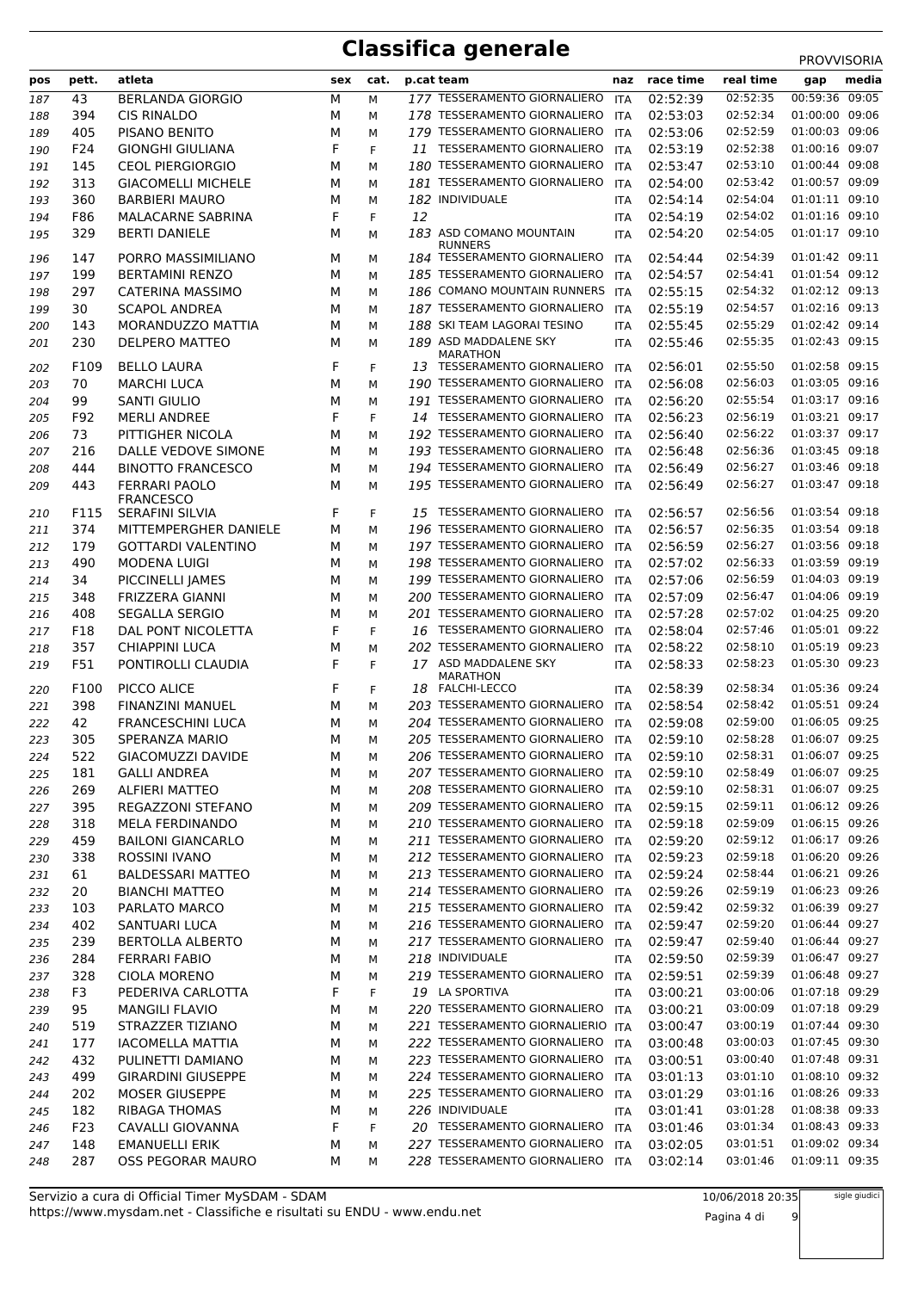|     |       |                           |     |      |    |                                                |            |           |           | <b>PROVVISORIA</b> |
|-----|-------|---------------------------|-----|------|----|------------------------------------------------|------------|-----------|-----------|--------------------|
| pos | pett. | atleta                    | sex | cat. |    | p.cat team                                     | naz        | race time | real time | media<br>gap       |
| 187 | 43    | <b>BERLANDA GIORGIO</b>   | М   | М    |    | 177 TESSERAMENTO GIORNALIERO                   | <b>ITA</b> | 02:52:39  | 02:52:35  | 00:59:36<br>09:05  |
| 188 | 394   | <b>CIS RINALDO</b>        | М   | М    |    | 178 TESSERAMENTO GIORNALIERO                   | ITA        | 02:53:03  | 02:52:34  | 01:00:00 09:06     |
| 189 | 405   | PISANO BENITO             | М   | м    |    | 179 TESSERAMENTO GIORNALIERO                   | ITA        | 02:53:06  | 02:52:59  | 01:00:03 09:06     |
| 190 | F24   | <b>GIONGHI GIULIANA</b>   | F   | F    |    | 11 TESSERAMENTO GIORNALIERO                    | <b>ITA</b> | 02:53:19  | 02:52:38  | 01:00:16 09:07     |
| 191 | 145   | <b>CEOL PIERGIORGIO</b>   | М   | М    |    | 180 TESSERAMENTO GIORNALIERO                   | <b>ITA</b> | 02:53:47  | 02:53:10  | 01:00:44 09:08     |
| 192 | 313   | <b>GIACOMELLI MICHELE</b> | М   | м    |    | 181 TESSERAMENTO GIORNALIERO                   | <b>ITA</b> | 02:54:00  | 02:53:42  | 01:00:57 09:09     |
| 193 | 360   | <b>BARBIERI MAURO</b>     | М   | М    |    | 182 INDIVIDUALE                                | <b>ITA</b> | 02:54:14  | 02:54:04  | 01:01:11 09:10     |
| 194 | F86   | <b>MALACARNE SABRINA</b>  | F   | F    | 12 |                                                | <b>ITA</b> | 02:54:19  | 02:54:02  | 01:01:16 09:10     |
| 195 | 329   | <b>BERTI DANIELE</b>      | М   | М    |    | 183 ASD COMANO MOUNTAIN                        | <b>ITA</b> | 02:54:20  | 02:54:05  | 01:01:17 09:10     |
|     |       |                           |     |      |    | <b>RUNNERS</b>                                 |            |           |           |                    |
| 196 | 147   | PORRO MASSIMILIANO        | М   | М    |    | 184 TESSERAMENTO GIORNALIERO                   | ITA        | 02:54:44  | 02:54:39  | 01:01:42 09:11     |
| 197 | 199   | <b>BERTAMINI RENZO</b>    | М   | м    |    | 185 TESSERAMENTO GIORNALIERO                   | ITA        | 02:54:57  | 02:54:41  | 01:01:54 09:12     |
| 198 | 297   | CATERINA MASSIMO          | М   | М    |    | 186 COMANO MOUNTAIN RUNNERS ITA                |            | 02:55:15  | 02:54:32  | 01:02:12 09:13     |
| 199 | 30    | <b>SCAPOL ANDREA</b>      | М   | М    |    | 187 TESSERAMENTO GIORNALIERO                   | ITA        | 02:55:19  | 02:54:57  | 01:02:16 09:13     |
| 200 | 143   | MORANDUZZO MATTIA         | М   | М    |    | 188 SKI TEAM LAGORAI TESINO                    | <b>ITA</b> | 02:55:45  | 02:55:29  | 01:02:42 09:14     |
| 201 | 230   | <b>DELPERO MATTEO</b>     | М   | М    |    | 189 ASD MADDALENE SKY                          | <b>ITA</b> | 02:55:46  | 02:55:35  | 01:02:43 09:15     |
| 202 | F109  | <b>BELLO LAURA</b>        | F   | F    |    | <b>MARATHON</b><br>13 TESSERAMENTO GIORNALIERO | ITA        | 02:56:01  | 02:55:50  | 01:02:58 09:15     |
| 203 | 70    | <b>MARCHI LUCA</b>        | М   | м    |    | 190 TESSERAMENTO GIORNALIERO                   | ITA        | 02:56:08  | 02:56:03  | 01:03:05 09:16     |
| 204 | 99    | <b>SANTI GIULIO</b>       | М   | м    |    | 191 TESSERAMENTO GIORNALIERO                   | ITA        | 02:56:20  | 02:55:54  | 01:03:17 09:16     |
| 205 | F92   | <b>MERLI ANDREE</b>       | F   | F    |    | 14 TESSERAMENTO GIORNALIERO                    | ITA        | 02:56:23  | 02:56:19  | 01:03:21 09:17     |
| 206 | 73    | PITTIGHER NICOLA          | М   | М    |    | 192 TESSERAMENTO GIORNALIERO                   | ITA        | 02:56:40  | 02:56:22  | 01:03:37 09:17     |
| 207 | 216   | DALLE VEDOVE SIMONE       | М   | М    |    | 193 TESSERAMENTO GIORNALIERO                   | <b>ITA</b> | 02:56:48  | 02:56:36  | 01:03:45 09:18     |
| 208 | 444   | <b>BINOTTO FRANCESCO</b>  | М   | М    |    | 194 TESSERAMENTO GIORNALIERO                   | ITA        | 02:56:49  | 02:56:27  | 01:03:46 09:18     |
|     | 443   | <b>FERRARI PAOLO</b>      | М   |      |    | 195 TESSERAMENTO GIORNALIERO                   |            | 02:56:49  | 02:56:27  | 01:03:47 09:18     |
| 209 |       | <b>FRANCESCO</b>          |     | М    |    |                                                | ITA        |           |           |                    |
| 210 | F115  | <b>SERAFINI SILVIA</b>    | F   | F    |    | 15 TESSERAMENTO GIORNALIERO                    | ITA        | 02:56:57  | 02:56:56  | 01:03:54 09:18     |
| 211 | 374   | MITTEMPERGHER DANIELE     | М   | м    |    | 196 TESSERAMENTO GIORNALIERO                   | <b>ITA</b> | 02:56:57  | 02:56:35  | 01:03:54 09:18     |
| 212 | 179   | <b>GOTTARDI VALENTINO</b> | М   | м    |    | 197 TESSERAMENTO GIORNALIERO                   | ITA        | 02:56:59  | 02:56:27  | 01:03:56 09:18     |
| 213 | 490   | <b>MODENA LUIGI</b>       | М   | М    |    | 198 TESSERAMENTO GIORNALIERO                   | ITA        | 02:57:02  | 02:56:33  | 01:03:59 09:19     |
| 214 | 34    | PICCINELLI JAMES          | М   | М    |    | 199 TESSERAMENTO GIORNALIERO                   | <b>ITA</b> | 02:57:06  | 02:56:59  | 01:04:03 09:19     |
| 215 | 348   | FRIZZERA GIANNI           | М   | М    |    | 200 TESSERAMENTO GIORNALIERO                   | ITA        | 02:57:09  | 02:56:47  | 01:04:06 09:19     |
| 216 | 408   | <b>SEGALLA SERGIO</b>     | М   | М    |    | 201 TESSERAMENTO GIORNALIERO                   | ITA        | 02:57:28  | 02:57:02  | 01:04:25 09:20     |
| 217 | F18   | DAL PONT NICOLETTA        | F   | F    |    | 16 TESSERAMENTO GIORNALIERO                    | ITA        | 02:58:04  | 02:57:46  | 01:05:01 09:22     |
| 218 | 357   | CHIAPPINI LUCA            | М   | м    |    | 202 TESSERAMENTO GIORNALIERO                   | ITA        | 02:58:22  | 02:58:10  | 01:05:19 09:23     |
| 219 | F51   | PONTIROLLI CLAUDIA        | F   | F    |    | 17 ASD MADDALENE SKY                           | <b>ITA</b> | 02:58:33  | 02:58:23  | 01:05:30 09:23     |
|     |       |                           |     |      |    | <b>MARATHON</b>                                |            |           |           |                    |
| 220 | F100  | PICCO ALICE               | F   | F.   |    | 18 FALCHI-LECCO                                | <b>ITA</b> | 02:58:39  | 02:58:34  | 01:05:36 09:24     |
| 221 | 398   | <b>FINANZINI MANUEL</b>   | М   | м    |    | 203 TESSERAMENTO GIORNALIERO                   | ITA        | 02:58:54  | 02:58:42  | 01:05:51 09:24     |
| 222 | 42    | <b>FRANCESCHINI LUCA</b>  | М   | м    |    | 204 TESSERAMENTO GIORNALIERO                   | ITA        | 02:59:08  | 02:59:00  | 01:06:05 09:25     |
| 223 | 305   | SPERANZA MARIO            | М   | М    |    | 205 TESSERAMENTO GIORNALIERO                   | <b>ITA</b> | 02:59:10  | 02:58:28  | 01:06:07 09:25     |
| 224 | 522   | GIACOMUZZI DAVIDE         | М   | м    |    | 206 TESSERAMENTO GIORNALIERO                   | ITA        | 02:59:10  | 02:58:31  | 01:06:07 09:25     |
| 225 | 181   | <b>GALLI ANDREA</b>       | м   | М    |    | 207 TESSERAMENTO GIORNALIERO                   | ITA        | 02:59:10  | 02:58:49  | 01:06:07 09:25     |
| 226 | 269   | <b>ALFIERI MATTEO</b>     | м   | М    |    | 208 TESSERAMENTO GIORNALIERO                   | ITA        | 02:59:10  | 02:58:31  | 01:06:07 09:25     |
| 227 | 395   | REGAZZONI STEFANO         | м   | М    |    | 209 TESSERAMENTO GIORNALIERO                   | ITA        | 02:59:15  | 02:59:11  | 01:06:12 09:26     |
| 228 | 318   | MELA FERDINANDO           | М   | М    |    | 210 TESSERAMENTO GIORNALIERO                   | ITA        | 02:59:18  | 02:59:09  | 01:06:15 09:26     |
| 229 | 459   | <b>BAILONI GIANCARLO</b>  | М   | М    |    | 211 TESSERAMENTO GIORNALIERO                   | ITA        | 02:59:20  | 02:59:12  | 01:06:17 09:26     |
| 230 | 338   | <b>ROSSINI IVANO</b>      | м   | М    |    | 212 TESSERAMENTO GIORNALIERO                   | ITA        | 02:59:23  | 02:59:18  | 01:06:20 09:26     |
| 231 | 61    | <b>BALDESSARI MATTEO</b>  | М   | М    |    | 213 TESSERAMENTO GIORNALIERO                   | ITA        | 02:59:24  | 02:58:44  | 01:06:21 09:26     |
| 232 | 20    | <b>BIANCHI MATTEO</b>     | М   | М    |    | 214 TESSERAMENTO GIORNALIERO                   | ITA        | 02:59:26  | 02:59:19  | 01:06:23 09:26     |
| 233 | 103   | PARLATO MARCO             | М   | М    |    | 215 TESSERAMENTO GIORNALIERO                   | ITA        | 02:59:42  | 02:59:32  | 01:06:39 09:27     |
| 234 | 402   | SANTUARI LUCA             | М   | М    |    | 216 TESSERAMENTO GIORNALIERO                   | ITA        | 02:59:47  | 02:59:20  | 01:06:44 09:27     |
| 235 | 239   | <b>BERTOLLA ALBERTO</b>   | М   | М    |    | 217 TESSERAMENTO GIORNALIERO                   | ITA        | 02:59:47  | 02:59:40  | 01:06:44 09:27     |
| 236 | 284   | <b>FERRARI FABIO</b>      | м   | М    |    | 218 INDIVIDUALE                                | <b>ITA</b> | 02:59:50  | 02:59:39  | 01:06:47 09:27     |
| 237 | 328   | <b>CIOLA MORENO</b>       | м   | М    |    | 219 TESSERAMENTO GIORNALIERO                   | ITA        | 02:59:51  | 02:59:39  | 01:06:48 09:27     |
| 238 | F3    | PEDERIVA CARLOTTA         | F   | F    |    | 19 LA SPORTIVA                                 | <b>ITA</b> | 03:00:21  | 03:00:06  | 01:07:18 09:29     |
| 239 | 95    | <b>MANGILI FLAVIO</b>     | м   | М    |    | 220 TESSERAMENTO GIORNALIERO                   | ITA        | 03:00:21  | 03:00:09  | 01:07:18 09:29     |
| 240 | 519   | STRAZZER TIZIANO          | м   | М    |    | 221 TESSERAMENTO GIORNALIERIO ITA              |            | 03:00:47  | 03:00:19  | 01:07:44 09:30     |
| 241 | 177   | <b>IACOMELLA MATTIA</b>   | М   | М    |    | 222 TESSERAMENTO GIORNALIERO ITA               |            | 03:00:48  | 03:00:03  | 01:07:45 09:30     |
| 242 | 432   | PULINETTI DAMIANO         | м   | М    |    | 223 TESSERAMENTO GIORNALIERO                   | <b>ITA</b> | 03:00:51  | 03:00:40  | 01:07:48 09:31     |
| 243 | 499   | <b>GIRARDINI GIUSEPPE</b> | м   | М    |    | 224 TESSERAMENTO GIORNALIERO                   | ITA        | 03:01:13  | 03:01:10  | 01:08:10 09:32     |
| 244 | 202   | MOSER GIUSEPPE            | м   | М    |    | 225 TESSERAMENTO GIORNALIERO                   | ITA        | 03:01:29  | 03:01:16  | 01:08:26 09:33     |
| 245 | 182   | <b>RIBAGA THOMAS</b>      | м   | м    |    | 226 INDIVIDUALE                                | <b>ITA</b> | 03:01:41  | 03:01:28  | 01:08:38 09:33     |
| 246 | F23   | CAVALLI GIOVANNA          | F   | F    |    | 20 TESSERAMENTO GIORNALIERO                    | ITA        | 03:01:46  | 03:01:34  | 01:08:43 09:33     |
| 247 | 148   | <b>EMANUELLI ERIK</b>     | М   | М    |    | 227 TESSERAMENTO GIORNALIERO                   | ITA        | 03:02:05  | 03:01:51  | 01:09:02 09:34     |
| 248 | 287   | <b>OSS PEGORAR MAURO</b>  | М   | М    |    | 228 TESSERAMENTO GIORNALIERO                   | <b>ITA</b> | 03:02:14  | 03:01:46  | 01:09:11 09:35     |

sigle giudici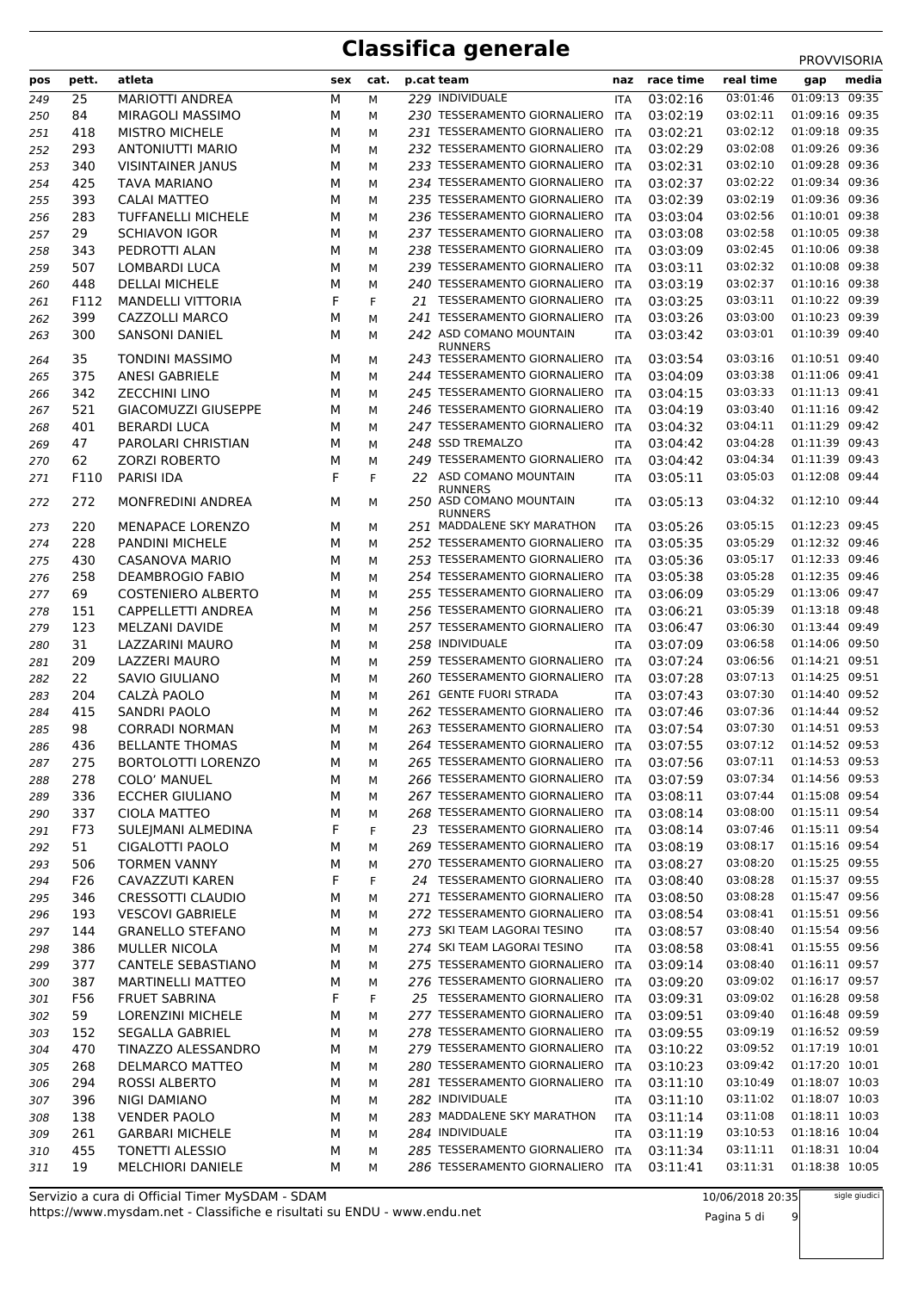| pos        | pett. | atleta                     | sex    | cat.   | p.cat team                                                   | naz        | race time | real time | gap            | media |
|------------|-------|----------------------------|--------|--------|--------------------------------------------------------------|------------|-----------|-----------|----------------|-------|
| 249        | 25    | <b>MARIOTTI ANDREA</b>     | М      | М      | 229 INDIVIDUALE                                              | ITA        | 03:02:16  | 03:01:46  | 01:09:13 09:35 |       |
| 250        | 84    | MIRAGOLI MASSIMO           | М      | м      | 230 TESSERAMENTO GIORNALIERO                                 | ITA        | 03:02:19  | 03:02:11  | 01:09:16 09:35 |       |
| 251        | 418   | <b>MISTRO MICHELE</b>      | М      | М      | 231 TESSERAMENTO GIORNALIERO                                 | ITA        | 03:02:21  | 03:02:12  | 01:09:18 09:35 |       |
| 252        | 293   | ANTONIUTTI MARIO           | М      | М      | 232 TESSERAMENTO GIORNALIERO                                 | ITA        | 03:02:29  | 03:02:08  | 01:09:26 09:36 |       |
| 253        | 340   | <b>VISINTAINER JANUS</b>   | М      | М      | 233 TESSERAMENTO GIORNALIERO                                 | ITA        | 03:02:31  | 03:02:10  | 01:09:28 09:36 |       |
| 254        | 425   | TAVA MARIANO               | М      | М      | 234 TESSERAMENTO GIORNALIERO                                 | ITA        | 03:02:37  | 03:02:22  | 01:09:34 09:36 |       |
| 255        | 393   | <b>CALAI MATTEO</b>        | М      | М      | 235 TESSERAMENTO GIORNALIERO                                 | ITA        | 03:02:39  | 03:02:19  | 01:09:36 09:36 |       |
| 256        | 283   | <b>TUFFANELLI MICHELE</b>  | М      | М      | 236 TESSERAMENTO GIORNALIERO                                 | ITA        | 03:03:04  | 03:02:56  | 01:10:01 09:38 |       |
| 257        | 29    | <b>SCHIAVON IGOR</b>       | М      | М      | 237 TESSERAMENTO GIORNALIERO                                 | ITA        | 03:03:08  | 03:02:58  | 01:10:05 09:38 |       |
| 258        | 343   | PEDROTTI ALAN              | М      | М      | 238 TESSERAMENTO GIORNALIERO                                 | ITA        | 03:03:09  | 03:02:45  | 01:10:06 09:38 |       |
| 259        | 507   | LOMBARDI LUCA              | М      | М      | 239 TESSERAMENTO GIORNALIERO                                 | ITA        | 03:03:11  | 03:02:32  | 01:10:08 09:38 |       |
|            | 448   | <b>DELLAI MICHELE</b>      | М      | М      | 240 TESSERAMENTO GIORNALIERO                                 | ITA        | 03:03:19  | 03:02:37  | 01:10:16 09:38 |       |
| 260        | F112  | <b>MANDELLI VITTORIA</b>   | F      | F      | 21 TESSERAMENTO GIORNALIERO                                  |            | 03:03:25  | 03:03:11  | 01:10:22 09:39 |       |
| 261        | 399   | CAZZOLLI MARCO             | М      |        | 241 TESSERAMENTO GIORNALIERO                                 | ITA        | 03:03:26  | 03:03:00  | 01:10:23 09:39 |       |
| 262        |       |                            |        | М      | 242 ASD COMANO MOUNTAIN                                      | ITA        |           | 03:03:01  | 01:10:39 09:40 |       |
| 263        | 300   | <b>SANSONI DANIEL</b>      | м      | М      | <b>RUNNERS</b>                                               | ITA        | 03:03:42  |           |                |       |
| 264        | 35    | <b>TONDINI MASSIMO</b>     | М      | М      | 243 TESSERAMENTO GIORNALIERO                                 | <b>ITA</b> | 03:03:54  | 03:03:16  | 01:10:51 09:40 |       |
| 265        | 375   | <b>ANESI GABRIELE</b>      | М      | М      | 244 TESSERAMENTO GIORNALIERO                                 | ITA        | 03:04:09  | 03:03:38  | 01:11:06 09:41 |       |
| 266        | 342   | <b>ZECCHINI LINO</b>       | М      | м      | 245 TESSERAMENTO GIORNALIERO                                 | ITA        | 03:04:15  | 03:03:33  | 01:11:13 09:41 |       |
| 267        | 521   | <b>GIACOMUZZI GIUSEPPE</b> | м      | М      | 246 TESSERAMENTO GIORNALIERO                                 | <b>ITA</b> | 03:04:19  | 03:03:40  | 01:11:16 09:42 |       |
| 268        | 401   | <b>BERARDI LUCA</b>        | М      | М      | 247 TESSERAMENTO GIORNALIERO                                 | ITA        | 03:04:32  | 03:04:11  | 01:11:29 09:42 |       |
| 269        | 47    | PAROLARI CHRISTIAN         | М      | М      | 248 SSD TREMALZO                                             | ITA        | 03:04:42  | 03:04:28  | 01:11:39 09:43 |       |
| 270        | 62    | <b>ZORZI ROBERTO</b>       | М      | М      | 249 TESSERAMENTO GIORNALIERO                                 | ITA        | 03:04:42  | 03:04:34  | 01:11:39 09:43 |       |
| 271        | F110  | PARISI IDA                 | F      | F      | 22 ASD COMANO MOUNTAIN                                       | ITA        | 03:05:11  | 03:05:03  | 01:12:08 09:44 |       |
|            |       |                            |        |        | <b>RUNNERS</b>                                               |            |           |           |                |       |
| 272        | 272   | <b>MONFREDINI ANDREA</b>   | м      | М      | 250 ASD COMANO MOUNTAIN<br><b>RUNNERS</b>                    | ITA        | 03:05:13  | 03:04:32  | 01:12:10 09:44 |       |
| 273        | 220   | <b>MENAPACE LORENZO</b>    | М      | М      | 251 MADDALENE SKY MARATHON                                   | ITA        | 03:05:26  | 03:05:15  | 01:12:23 09:45 |       |
| 274        | 228   | <b>PANDINI MICHELE</b>     | М      | М      | 252 TESSERAMENTO GIORNALIERO                                 | <b>ITA</b> | 03:05:35  | 03:05:29  | 01:12:32 09:46 |       |
| 275        | 430   | <b>CASANOVA MARIO</b>      | М      | м      | 253 TESSERAMENTO GIORNALIERO                                 | ITA        | 03:05:36  | 03:05:17  | 01:12:33 09:46 |       |
| 276        | 258   | <b>DEAMBROGIO FABIO</b>    | М      | м      | 254 TESSERAMENTO GIORNALIERO                                 | ITA        | 03:05:38  | 03:05:28  | 01:12:35 09:46 |       |
| 277        | 69    | <b>COSTENIERO ALBERTO</b>  | м      | М      | 255 TESSERAMENTO GIORNALIERO                                 | <b>ITA</b> | 03:06:09  | 03:05:29  | 01:13:06 09:47 |       |
| 278        | 151   | CAPPELLETTI ANDREA         | М      | М      | 256 TESSERAMENTO GIORNALIERO                                 | ITA        | 03:06:21  | 03:05:39  | 01:13:18 09:48 |       |
| 279        | 123   | MELZANI DAVIDE             | М      | М      | 257 TESSERAMENTO GIORNALIERO                                 | ITA        | 03:06:47  | 03:06:30  | 01:13:44 09:49 |       |
| 280        | 31    | LAZZARINI MAURO            | М      | М      | 258 INDIVIDUALE                                              | ITA        | 03:07:09  | 03:06:58  | 01:14:06 09:50 |       |
| 281        | 209   | <b>LAZZERI MAURO</b>       | М      | М      | 259 TESSERAMENTO GIORNALIERO                                 | ITA        | 03:07:24  | 03:06:56  | 01:14:21 09:51 |       |
| 282        | 22    | SAVIO GIULIANO             | М      | М      | 260 TESSERAMENTO GIORNALIERO                                 | ITA        | 03:07:28  | 03:07:13  | 01:14:25 09:51 |       |
| 283        | 204   | CALZÀ PAOLO                | М      | М      | 261 GENTE FUORI STRADA                                       | ITA        | 03:07:43  | 03:07:30  | 01:14:40 09:52 |       |
| 284        | 415   | <b>SANDRI PAOLO</b>        | М      | М      | 262 TESSERAMENTO GIORNALIERO                                 | ITA        | 03:07:46  | 03:07:36  | 01:14:44 09:52 |       |
| 285        | 98    | <b>CORRADI NORMAN</b>      | М      | М      | 263 TESSERAMENTO GIORNALIERO                                 | ITA        | 03:07:54  | 03:07:30  | 01:14:51 09:53 |       |
| 286        | 436   | <b>BELLANTE THOMAS</b>     | М      | М      | 264 TESSERAMENTO GIORNALIERO                                 | <b>ITA</b> | 03:07:55  | 03:07:12  | 01:14:52 09:53 |       |
| 287        | 275   | <b>BORTOLOTTI LORENZO</b>  | М      | М      | 265 TESSERAMENTO GIORNALIERO                                 | ITA        | 03:07:56  | 03:07:11  | 01:14:53 09:53 |       |
| 288        | 278   | <b>COLO' MANUEL</b>        | М      | М      | 266 TESSERAMENTO GIORNALIERO                                 | ITA        | 03:07:59  | 03:07:34  | 01:14:56 09:53 |       |
| 289        | 336   | <b>ECCHER GIULIANO</b>     | М      |        | 267 TESSERAMENTO GIORNALIERO                                 | <b>ITA</b> | 03:08:11  | 03:07:44  | 01:15:08 09:54 |       |
|            | 337   | <b>CIOLA MATTEO</b>        | М      | М      | 268 TESSERAMENTO GIORNALIERO ITA                             |            | 03:08:14  | 03:08:00  | 01:15:11 09:54 |       |
| 290<br>291 | F73   | SULE MANI ALMEDINA         | F      | М<br>F | 23 TESSERAMENTO GIORNALIERO ITA                              |            | 03:08:14  | 03:07:46  | 01:15:11 09:54 |       |
|            | 51    | CIGALOTTI PAOLO            | М      | М      | 269 TESSERAMENTO GIORNALIERO                                 | <b>ITA</b> | 03:08:19  | 03:08:17  | 01:15:16 09:54 |       |
| 292        | 506   | <b>TORMEN VANNY</b>        |        |        | 270 TESSERAMENTO GIORNALIERO                                 |            | 03:08:27  | 03:08:20  | 01:15:25 09:55 |       |
| 293        |       |                            | М<br>F | М      | 24 TESSERAMENTO GIORNALIERO ITA                              | ITA        |           | 03:08:28  | 01:15:37 09:55 |       |
| 294        | F26   | CAVAZZUTI KAREN            |        | F      |                                                              |            | 03:08:40  |           | 01:15:47 09:56 |       |
| 295        | 346   | <b>CRESSOTTI CLAUDIO</b>   | М      | М      | 271 TESSERAMENTO GIORNALIERO<br>272 TESSERAMENTO GIORNALIERO | ITA        | 03:08:50  | 03:08:28  | 01:15:51 09:56 |       |
| 296        | 193   | <b>VESCOVI GABRIELE</b>    | М      | М      |                                                              | ITA        | 03:08:54  | 03:08:41  |                |       |
| 297        | 144   | <b>GRANELLO STEFANO</b>    | М      | М      | 273 SKI TEAM LAGORAI TESINO                                  | ITA        | 03:08:57  | 03:08:40  | 01:15:54 09:56 |       |
| 298        | 386   | <b>MULLER NICOLA</b>       | М      | М      | 274 SKI TEAM LAGORAI TESINO                                  | ITA        | 03:08:58  | 03:08:41  | 01:15:55 09:56 |       |
| 299        | 377   | CANTELE SEBASTIANO         | М      | М      | 275 TESSERAMENTO GIORNALIERO                                 | ITA        | 03:09:14  | 03:08:40  | 01:16:11 09:57 |       |
| 300        | 387   | <b>MARTINELLI MATTEO</b>   | М      | М      | 276 TESSERAMENTO GIORNALIERO                                 | <b>ITA</b> | 03:09:20  | 03:09:02  | 01:16:17 09:57 |       |
| 301        | F56   | <b>FRUET SABRINA</b>       | F      | F      | 25 TESSERAMENTO GIORNALIERO ITA                              |            | 03:09:31  | 03:09:02  | 01:16:28 09:58 |       |
| 302        | 59    | <b>LORENZINI MICHELE</b>   | М      | М      | 277 TESSERAMENTO GIORNALIERO ITA                             |            | 03:09:51  | 03:09:40  | 01:16:48 09:59 |       |
| 303        | 152   | SEGALLA GABRIEL            | М      | м      | 278 TESSERAMENTO GIORNALIERO ITA                             |            | 03:09:55  | 03:09:19  | 01:16:52 09:59 |       |
| 304        | 470   | TINAZZO ALESSANDRO         | М      | М      | 279 TESSERAMENTO GIORNALIERO ITA                             |            | 03:10:22  | 03:09:52  | 01:17:19 10:01 |       |
| 305        | 268   | DELMARCO MATTEO            | М      | М      | 280 TESSERAMENTO GIORNALIERO                                 | ITA        | 03:10:23  | 03:09:42  | 01:17:20 10:01 |       |
| 306        | 294   | ROSSI ALBERTO              | М      | М      | 281 TESSERAMENTO GIORNALIERO                                 | ITA        | 03:11:10  | 03:10:49  | 01:18:07 10:03 |       |
| 307        | 396   | NIGI DAMIANO               | М      | М      | 282 INDIVIDUALE                                              | ITA        | 03:11:10  | 03:11:02  | 01:18:07 10:03 |       |
| 308        | 138   | <b>VENDER PAOLO</b>        | М      | М      | 283 MADDALENE SKY MARATHON                                   | ITA        | 03:11:14  | 03:11:08  | 01:18:11 10:03 |       |
| 309        | 261   | <b>GARBARI MICHELE</b>     | М      | М      | 284 INDIVIDUALE                                              | ITA        | 03:11:19  | 03:10:53  | 01:18:16 10:04 |       |
| 310        | 455   | <b>TONETTI ALESSIO</b>     | М      | М      | 285 TESSERAMENTO GIORNALIERO                                 | <b>ITA</b> | 03:11:34  | 03:11:11  | 01:18:31 10:04 |       |
| 311        | 19    | MELCHIORI DANIELE          | М      | М      | 286 TESSERAMENTO GIORNALIERO                                 | ITA        | 03:11:41  | 03:11:31  | 01:18:38 10:05 |       |

Pagina 5 di 9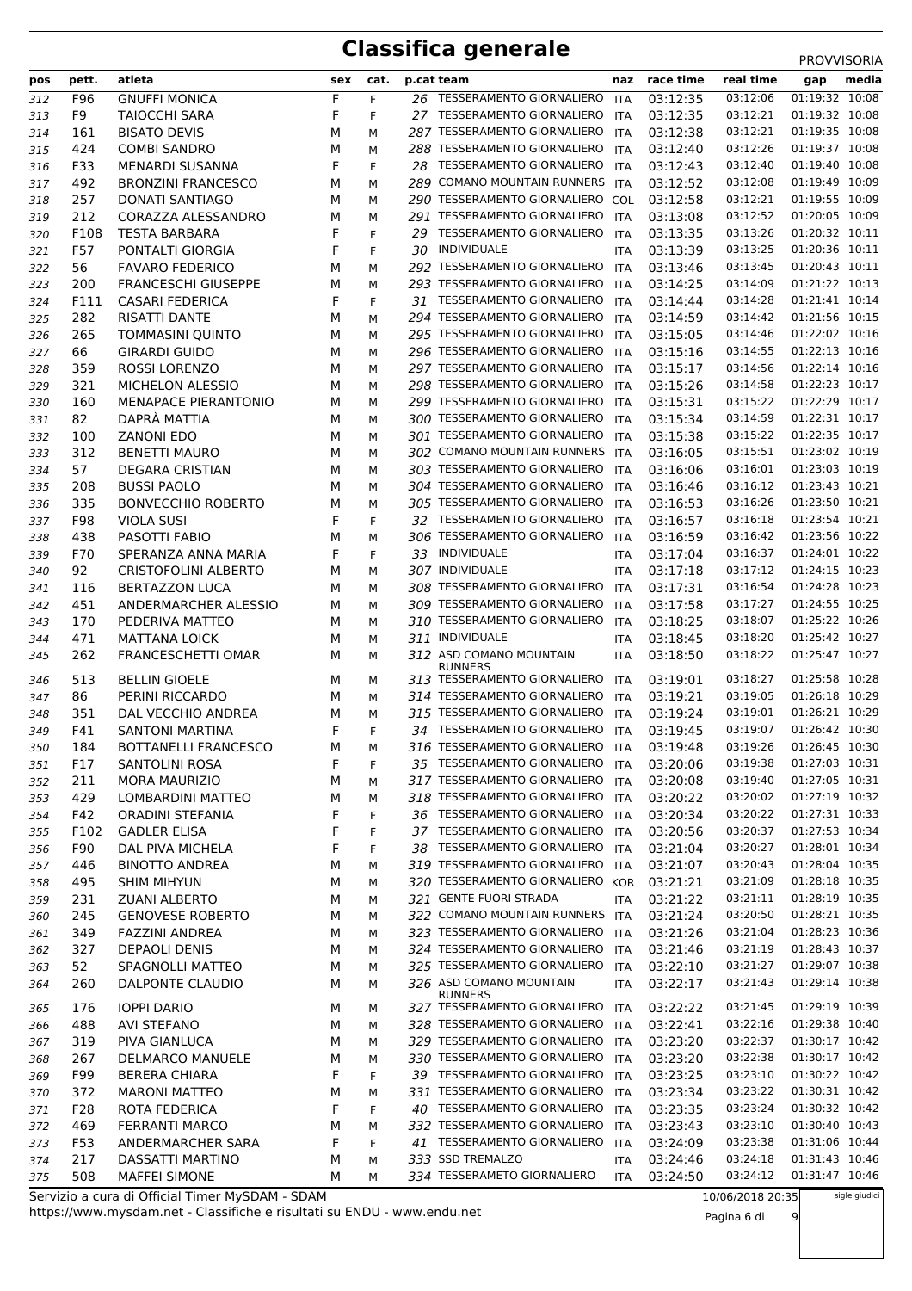| pos        | pett.      | atleta                                          | sex    | cat.   |    | p.cat team                                                   | naz               | race time            | real time            | media<br>gap                     |
|------------|------------|-------------------------------------------------|--------|--------|----|--------------------------------------------------------------|-------------------|----------------------|----------------------|----------------------------------|
| 312        | F96        | <b>GNUFFI MONICA</b>                            | F      | F.     |    | 26 TESSERAMENTO GIORNALIERO                                  | <b>ITA</b>        | 03:12:35             | 03:12:06             | 01:19:32 10:08                   |
| 313        | F9         | <b>TAIOCCHI SARA</b>                            | F      | F      |    | 27 TESSERAMENTO GIORNALIERO                                  | <b>ITA</b>        | 03:12:35             | 03:12:21             | 01:19:32 10:08                   |
| 314        | 161        | <b>BISATO DEVIS</b>                             | М      | М      |    | 287 TESSERAMENTO GIORNALIERO                                 | ITA               | 03:12:38             | 03:12:21             | 01:19:35 10:08                   |
| 315        | 424        | <b>COMBI SANDRO</b>                             | М      | М      |    | 288 TESSERAMENTO GIORNALIERO                                 | <b>ITA</b>        | 03:12:40             | 03:12:26             | 01:19:37 10:08                   |
| 316        | F33        | MENARDI SUSANNA                                 | F      | F      |    | 28 TESSERAMENTO GIORNALIERO                                  | <b>ITA</b>        | 03:12:43             | 03:12:40             | 01:19:40 10:08                   |
| 317        | 492        | <b>BRONZINI FRANCESCO</b>                       | М      | М      |    | 289 COMANO MOUNTAIN RUNNERS ITA                              |                   | 03:12:52             | 03:12:08             | 01:19:49 10:09                   |
| 318        | 257        | DONATI SANTIAGO                                 | м      | М      |    | 290 TESSERAMENTO GIORNALIERO                                 | COL               | 03:12:58             | 03:12:21             | 01:19:55 10:09                   |
| 319        | 212        | CORAZZA ALESSANDRO                              | М      | М      |    | 291 TESSERAMENTO GIORNALIERO                                 | ITA               | 03:13:08             | 03:12:52             | 01:20:05 10:09                   |
| 320        | F108       | <b>TESTA BARBARA</b>                            | F      | F      | 29 | <b>TESSERAMENTO GIORNALIERO</b>                              | ITA               | 03:13:35             | 03:13:26             | 01:20:32 10:11                   |
| 321        | F57        | PONTALTI GIORGIA                                | F      | F      | 30 | INDIVIDUALE                                                  | <b>ITA</b>        | 03:13:39             | 03:13:25             | 01:20:36 10:11                   |
| 322        | 56         | <b>FAVARO FEDERICO</b>                          | М      | М      |    | 292 TESSERAMENTO GIORNALIERO                                 | ITA               | 03:13:46             | 03:13:45             | 01:20:43 10:11                   |
| 323        | 200        | <b>FRANCESCHI GIUSEPPE</b>                      | М      | М      |    | 293 TESSERAMENTO GIORNALIERO                                 | ITA               | 03:14:25             | 03:14:09             | 01:21:22 10:13                   |
| 324        | F111       | <b>CASARI FEDERICA</b>                          | F      | F.     |    | 31 TESSERAMENTO GIORNALIERO                                  | <b>ITA</b>        | 03:14:44             | 03:14:28             | 01:21:41 10:14                   |
| 325        | 282        | RISATTI DANTE                                   | М      | М      |    | 294 TESSERAMENTO GIORNALIERO                                 | <b>ITA</b>        | 03:14:59             | 03:14:42             | 01:21:56 10:15                   |
| 326        | 265        | <b>TOMMASINI QUINTO</b>                         | М      | М      |    | 295 TESSERAMENTO GIORNALIERO                                 | ITA               | 03:15:05             | 03:14:46             | 01:22:02 10:16                   |
| 327        | 66         | <b>GIRARDI GUIDO</b>                            | М      | М      |    | 296 TESSERAMENTO GIORNALIERO                                 | <b>ITA</b>        | 03:15:16             | 03:14:55             | 01:22:13 10:16                   |
| 328        | 359        | <b>ROSSI LORENZO</b>                            | м      | М      |    | 297 TESSERAMENTO GIORNALIERO<br>298 TESSERAMENTO GIORNALIERO | <b>ITA</b>        | 03:15:17             | 03:14:56<br>03:14:58 | 01:22:14 10:16<br>01:22:23 10:17 |
| 329        | 321<br>160 | MICHELON ALESSIO<br>MENAPACE PIERANTONIO        | М<br>М | М<br>М |    | 299 TESSERAMENTO GIORNALIERO                                 | ITA<br>ITA        | 03:15:26<br>03:15:31 | 03:15:22             | 01:22:29 10:17                   |
| 330<br>331 | 82         | DAPRÀ MATTIA                                    | м      | М      |    | 300 TESSERAMENTO GIORNALIERO                                 | <b>ITA</b>        | 03:15:34             | 03:14:59             | 01:22:31 10:17                   |
| 332        | 100        | <b>ZANONI EDO</b>                               | м      | М      |    | 301 TESSERAMENTO GIORNALIERO                                 | ITA               | 03:15:38             | 03:15:22             | 01:22:35 10:17                   |
| 333        | 312        | <b>BENETTI MAURO</b>                            | М      | М      |    | 302 COMANO MOUNTAIN RUNNERS ITA                              |                   | 03:16:05             | 03:15:51             | 01:23:02 10:19                   |
| 334        | 57         | <b>DEGARA CRISTIAN</b>                          | М      | М      |    | 303 TESSERAMENTO GIORNALIERO                                 | <b>ITA</b>        | 03:16:06             | 03:16:01             | 01:23:03 10:19                   |
| 335        | 208        | <b>BUSSI PAOLO</b>                              | м      | М      |    | 304 TESSERAMENTO GIORNALIERO                                 | ITA               | 03:16:46             | 03:16:12             | 01:23:43 10:21                   |
| 336        | 335        | <b>BONVECCHIO ROBERTO</b>                       | М      | М      |    | 305 TESSERAMENTO GIORNALIERO                                 | ITA               | 03:16:53             | 03:16:26             | 01:23:50 10:21                   |
| 337        | F98        | <b>VIOLA SUSI</b>                               | F      | F      |    | 32 TESSERAMENTO GIORNALIERO                                  | <b>ITA</b>        | 03:16:57             | 03:16:18             | 01:23:54 10:21                   |
| 338        | 438        | PASOTTI FABIO                                   | М      | М      |    | 306 TESSERAMENTO GIORNALIERO                                 | ITA               | 03:16:59             | 03:16:42             | 01:23:56 10:22                   |
| 339        | F70        | SPERANZA ANNA MARIA                             | F      | F      |    | 33 INDIVIDUALE                                               | <b>ITA</b>        | 03:17:04             | 03:16:37             | 01:24:01 10:22                   |
| 340        | 92         | <b>CRISTOFOLINI ALBERTO</b>                     | М      | М      |    | 307 INDIVIDUALE                                              | ITA               | 03:17:18             | 03:17:12             | 01:24:15 10:23                   |
| 341        | 116        | <b>BERTAZZON LUCA</b>                           | М      | М      |    | 308 TESSERAMENTO GIORNALIERO                                 | ITA               | 03:17:31             | 03:16:54             | 01:24:28 10:23                   |
| 342        | 451        | ANDERMARCHER ALESSIO                            | М      | М      |    | 309 TESSERAMENTO GIORNALIERO                                 | ITA               | 03:17:58             | 03:17:27             | 01:24:55 10:25                   |
| 343        | 170        | PEDERIVA MATTEO                                 | м      | М      |    | 310 TESSERAMENTO GIORNALIERO                                 | <b>ITA</b>        | 03:18:25             | 03:18:07             | 01:25:22 10:26                   |
| 344        | 471        | <b>MATTANA LOICK</b>                            | М      | М      |    | 311 INDIVIDUALE                                              | ITA               | 03:18:45             | 03:18:20             | 01:25:42 10:27                   |
| 345        | 262        | <b>FRANCESCHETTI OMAR</b>                       | М      | М      |    | 312 ASD COMANO MOUNTAIN<br><b>RUNNERS</b>                    | ITA               | 03:18:50             | 03:18:22             | 01:25:47 10:27                   |
| 346        | 513        | <b>BELLIN GIOELE</b>                            | м      | М      |    | 313 TESSERAMENTO GIORNALIERO                                 | ITA               | 03:19:01             | 03:18:27             | 01:25:58 10:28                   |
| 347        | 86         | PERINI RICCARDO                                 | м      | М      |    | 314 TESSERAMENTO GIORNALIERO                                 | <b>ITA</b>        | 03:19:21             | 03:19:05             | 01:26:18 10:29                   |
| 348        | 351        | DAL VECCHIO ANDREA                              | М      | М      |    | 315 TESSERAMENTO GIORNALIERO                                 | ITA               | 03:19:24             | 03:19:01             | 01:26:21 10:29                   |
| 349        | F41        | <b>SANTONI MARTINA</b>                          | F      | F      |    | 34 TESSERAMENTO GIORNALIERO                                  | ITA               | 03:19:45             | 03:19:07             | 01:26:42 10:30                   |
| 350        | 184        | <b>BOTTANELLI FRANCESCO</b>                     | М      | М      |    | 316 TESSERAMENTO GIORNALIERO ITA                             |                   | 03:19:48             | 03:19:26             | 01:26:45 10:30                   |
| 351        | F17        | SANTOLINI ROSA                                  | F      | F      |    | 35 TESSERAMENTO GIORNALIERO                                  | <b>ITA</b>        | 03:20:06             | 03:19:38             | 01:27:03 10:31                   |
| 352        | 211        | <b>MORA MAURIZIO</b>                            | М      | М      |    | 317 TESSERAMENTO GIORNALIERO                                 | ITA               | 03:20:08             | 03:19:40             | 01:27:05 10:31                   |
| 353        | 429        | LOMBARDINI MATTEO                               | М      | М      |    | 318 TESSERAMENTO GIORNALIERO                                 | ITA               | 03:20:22             | 03:20:02             | 01:27:19 10:32                   |
| 354        | F42        | <b>ORADINI STEFANIA</b>                         | F      | F      |    | 36 TESSERAMENTO GIORNALIERO                                  | ITA               | 03:20:34             | 03:20:22             | 01:27:31 10:33                   |
| 355        | F102       | <b>GADLER ELISA</b>                             | F      | F      |    | 37 TESSERAMENTO GIORNALIERO                                  | ITA               | 03:20:56             | 03:20:37             | 01:27:53 10:34                   |
| 356        | F90        | DAL PIVA MICHELA                                | F      | F      |    | 38 TESSERAMENTO GIORNALIERO                                  | ITA               | 03:21:04             | 03:20:27             | 01:28:01 10:34<br>01:28:04 10:35 |
| 357        | 446        | <b>BINOTTO ANDREA</b><br><b>SHIM MIHYUN</b>     | М      | М      |    | 319 TESSERAMENTO GIORNALIERO<br>320 TESSERAMENTO GIORNALIERO | ITA               | 03:21:07             | 03:20:43<br>03:21:09 | 01:28:18 10:35                   |
| 358        | 495<br>231 | <b>ZUANI ALBERTO</b>                            | М      | М      |    | 321 GENTE FUORI STRADA                                       | KOR<br><b>ITA</b> | 03:21:21<br>03:21:22 | 03:21:11             | 01:28:19 10:35                   |
| 359        | 245        | <b>GENOVESE ROBERTO</b>                         | М<br>М | М<br>М |    | 322 COMANO MOUNTAIN RUNNERS ITA                              |                   | 03:21:24             | 03:20:50             | 01:28:21 10:35                   |
| 360<br>361 | 349        | FAZZINI ANDREA                                  | М      | М      |    | 323 TESSERAMENTO GIORNALIERO                                 | ITA               | 03:21:26             | 03:21:04             | 01:28:23 10:36                   |
| 362        | 327        | DEPAOLI DENIS                                   | М      | М      |    | 324 TESSERAMENTO GIORNALIERO                                 | ITA               | 03:21:46             | 03:21:19             | 01:28:43 10:37                   |
| 363        | 52         | SPAGNOLLI MATTEO                                | м      | М      |    | 325 TESSERAMENTO GIORNALIERO                                 | ITA               | 03:22:10             | 03:21:27             | 01:29:07 10:38                   |
| 364        | 260        | DALPONTE CLAUDIO                                | М      | М      |    | 326 ASD COMANO MOUNTAIN                                      | ITA               | 03:22:17             | 03:21:43             | 01:29:14 10:38                   |
|            |            |                                                 |        |        |    | <b>RUNNERS</b>                                               |                   |                      |                      |                                  |
| 365        | 176        | <b>IOPPI DARIO</b>                              | M      | М      |    | 327 TESSERAMENTO GIORNALIERO                                 | ITA               | 03:22:22             | 03:21:45             | 01:29:19 10:39                   |
| 366        | 488        | <b>AVI STEFANO</b>                              | М      | М      |    | 328 TESSERAMENTO GIORNALIERO                                 | ITA               | 03:22:41             | 03:22:16             | 01:29:38 10:40                   |
| 367        | 319        | PIVA GIANLUCA                                   | М      | М      |    | 329 TESSERAMENTO GIORNALIERO<br>330 TESSERAMENTO GIORNALIERO | <b>ITA</b>        | 03:23:20             | 03:22:37<br>03:22:38 | 01:30:17 10:42<br>01:30:17 10:42 |
| 368        | 267<br>F99 | <b>DELMARCO MANUELE</b><br><b>BERERA CHIARA</b> | М<br>F | М<br>F |    | 39 TESSERAMENTO GIORNALIERO                                  | ITA<br>ITA        | 03:23:20<br>03:23:25 | 03:23:10             | 01:30:22 10:42                   |
| 369        | 372        | <b>MARONI MATTEO</b>                            | М      | М      |    | 331 TESSERAMENTO GIORNALIERO                                 | <b>ITA</b>        | 03:23:34             | 03:23:22             | 01:30:31 10:42                   |
| 370<br>371 | F28        | ROTA FEDERICA                                   | F      | F      |    | 40 TESSERAMENTO GIORNALIERO                                  | ITA               | 03:23:35             | 03:23:24             | 01:30:32 10:42                   |
| 372        | 469        | <b>FERRANTI MARCO</b>                           | М      | М      |    | 332 TESSERAMENTO GIORNALIERO                                 | ITA               | 03:23:43             | 03:23:10             | 01:30:40 10:43                   |
| 373        | F53        | ANDERMARCHER SARA                               | F      | F      |    | 41 TESSERAMENTO GIORNALIERO                                  | ITA               | 03:24:09             | 03:23:38             | 01:31:06 10:44                   |
| 374        | 217        | DASSATTI MARTINO                                | M      | М      |    | 333 SSD TREMALZO                                             | ITA               | 03:24:46             | 03:24:18             | 01:31:43 10:46                   |
| 375        | 508        | <b>MAFFEI SIMONE</b>                            | м      | М      |    | 334 TESSERAMETO GIORNALIERO                                  | <b>ITA</b>        | 03:24:50             | 03:24:12             | 01:31:47 10:46                   |

https://www.mysdam.net - Classifiche e risultati su ENDU - www.endu.net Servizio a cura di Official Timer MySDAM - SDAM

Pagina 6 di 9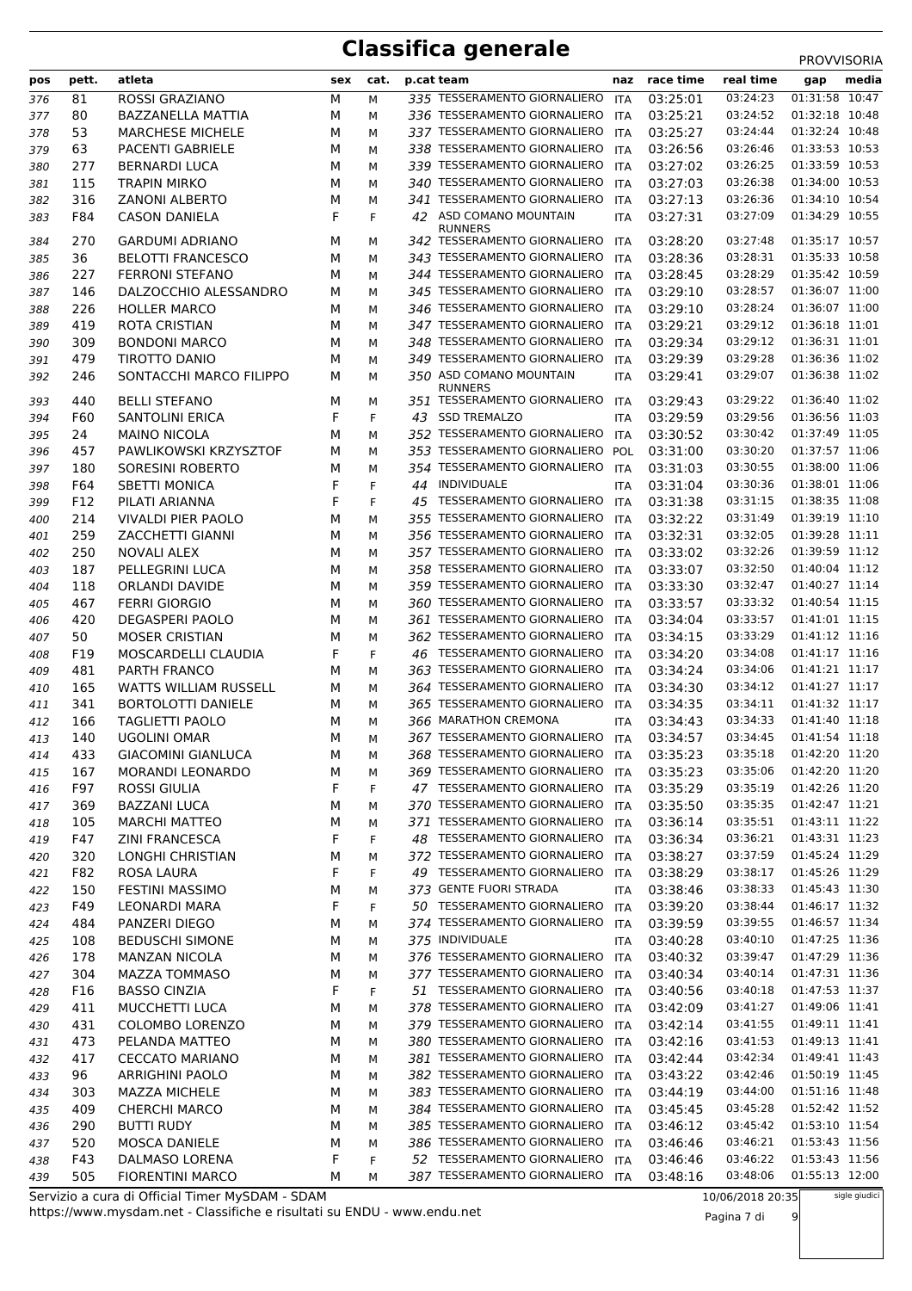|            |       |                              |     |      |    |                                                |            |           |           | <b>PRUVVIJURIA</b> |
|------------|-------|------------------------------|-----|------|----|------------------------------------------------|------------|-----------|-----------|--------------------|
| pos        | pett. | atleta                       | sex | cat. |    | p.cat team                                     | naz        | race time | real time | media<br>gap       |
| 376        | 81    | ROSSI GRAZIANO               | М   | М    |    | 335 TESSERAMENTO GIORNALIERO                   | ITA        | 03:25:01  | 03:24:23  | 01:31:58<br>10:47  |
| 377        | 80    | BAZZANELLA MATTIA            | М   | М    |    | 336 TESSERAMENTO GIORNALIERO                   | <b>ITA</b> | 03:25:21  | 03:24:52  | 01:32:18 10:48     |
| 378        | 53    | <b>MARCHESE MICHELE</b>      | М   | М    |    | 337 TESSERAMENTO GIORNALIERO                   | ITA        | 03:25:27  | 03:24:44  | 01:32:24 10:48     |
| 379        | 63    | <b>PACENTI GABRIELE</b>      | М   | М    |    | 338 TESSERAMENTO GIORNALIERO                   | ITA        | 03:26:56  | 03:26:46  | 01:33:53 10:53     |
| 380        | 277   | <b>BERNARDI LUCA</b>         | М   | М    |    | 339 TESSERAMENTO GIORNALIERO                   | ITA        | 03:27:02  | 03:26:25  | 01:33:59 10:53     |
| 381        | 115   | <b>TRAPIN MIRKO</b>          | М   | М    |    | 340 TESSERAMENTO GIORNALIERO                   | ITA        | 03:27:03  | 03:26:38  | 01:34:00 10:53     |
| 382        | 316   | <b>ZANONI ALBERTO</b>        | М   | М    |    | 341 TESSERAMENTO GIORNALIERO                   | ITA        | 03:27:13  | 03:26:36  | 01:34:10 10:54     |
| 383        | F84   | <b>CASON DANIELA</b>         | F   | F    |    | 42 ASD COMANO MOUNTAIN                         | <b>ITA</b> | 03:27:31  | 03:27:09  | 01:34:29 10:55     |
| 384        | 270   | <b>GARDUMI ADRIANO</b>       | М   | М    |    | <b>RUNNERS</b><br>342 TESSERAMENTO GIORNALIERO | ITA        | 03:28:20  | 03:27:48  | 01:35:17 10:57     |
| 385        | 36    | <b>BELOTTI FRANCESCO</b>     | М   | М    |    | 343 TESSERAMENTO GIORNALIERO                   | <b>ITA</b> | 03:28:36  | 03:28:31  | 01:35:33 10:58     |
| 386        | 227   | <b>FERRONI STEFANO</b>       | М   | М    |    | 344 TESSERAMENTO GIORNALIERO                   | ITA        | 03:28:45  | 03:28:29  | 01:35:42 10:59     |
| 387        | 146   | DALZOCCHIO ALESSANDRO        | М   | М    |    | 345 TESSERAMENTO GIORNALIERO                   | ITA        | 03:29:10  | 03:28:57  | 01:36:07 11:00     |
| 388        | 226   | <b>HOLLER MARCO</b>          | М   | М    |    | 346 TESSERAMENTO GIORNALIERO                   | ITA        | 03:29:10  | 03:28:24  | 01:36:07 11:00     |
|            | 419   | <b>ROTA CRISTIAN</b>         | М   | М    |    | 347 TESSERAMENTO GIORNALIERO                   | <b>ITA</b> | 03:29:21  | 03:29:12  | $01:36:18$ $11:01$ |
| 389<br>390 | 309   | <b>BONDONI MARCO</b>         | М   | М    |    | 348 TESSERAMENTO GIORNALIERO                   | ITA        | 03:29:34  | 03:29:12  | 01:36:31 11:01     |
|            | 479   | TIROTTO DANIO                | М   |      |    | 349 TESSERAMENTO GIORNALIERO                   | <b>ITA</b> | 03:29:39  | 03:29:28  | 01:36:36 11:02     |
| 391<br>392 | 246   | SONTACCHI MARCO FILIPPO      | М   | М    |    | 350 ASD COMANO MOUNTAIN                        |            | 03:29:41  | 03:29:07  | 01:36:38 11:02     |
|            |       |                              |     | М    |    | <b>RUNNERS</b>                                 | ITA        |           |           |                    |
| 393        | 440   | <b>BELLI STEFANO</b>         | м   | М    |    | 351 TESSERAMENTO GIORNALIERO                   | <b>ITA</b> | 03:29:43  | 03:29:22  | 01:36:40 11:02     |
| 394        | F60   | <b>SANTOLINI ERICA</b>       | F   | F    | 43 | <b>SSD TREMALZO</b>                            | <b>ITA</b> | 03:29:59  | 03:29:56  | 01:36:56 11:03     |
| 395        | 24    | <b>MAINO NICOLA</b>          | М   | М    |    | 352 TESSERAMENTO GIORNALIERO                   | ITA        | 03:30:52  | 03:30:42  | 01:37:49 11:05     |
| 396        | 457   | PAWLIKOWSKI KRZYSZTOF        | М   | М    |    | 353 TESSERAMENTO GIORNALIERO                   | POL        | 03:31:00  | 03:30:20  | 01:37:57 11:06     |
| 397        | 180   | <b>SORESINI ROBERTO</b>      | М   | М    |    | 354 TESSERAMENTO GIORNALIERO                   | ITA        | 03:31:03  | 03:30:55  | 01:38:00 11:06     |
| 398        | F64   | <b>SBETTI MONICA</b>         | F   | F    | 44 | <b>INDIVIDUALE</b>                             | ITA        | 03:31:04  | 03:30:36  | 01:38:01 11:06     |
| 399        | F12   | PILATI ARIANNA               | F   | F    |    | 45 TESSERAMENTO GIORNALIERO                    | <b>ITA</b> | 03:31:38  | 03:31:15  | 01:38:35 11:08     |
| 400        | 214   | <b>VIVALDI PIER PAOLO</b>    | М   | М    |    | 355 TESSERAMENTO GIORNALIERO                   | ITA        | 03:32:22  | 03:31:49  | 01:39:19 11:10     |
| 401        | 259   | <b>ZACCHETTI GIANNI</b>      | М   | М    |    | 356 TESSERAMENTO GIORNALIERO                   | ITA        | 03:32:31  | 03:32:05  | 01:39:28 11:11     |
| 402        | 250   | <b>NOVALI ALEX</b>           | М   | М    |    | 357 TESSERAMENTO GIORNALIERO                   | <b>ITA</b> | 03:33:02  | 03:32:26  | 01:39:59 11:12     |
| 403        | 187   | PELLEGRINI LUCA              | М   | М    |    | 358 TESSERAMENTO GIORNALIERO                   | ITA        | 03:33:07  | 03:32:50  | 01:40:04 11:12     |
| 404        | 118   | ORLANDI DAVIDE               | М   | М    |    | 359 TESSERAMENTO GIORNALIERO                   | ITA        | 03:33:30  | 03:32:47  | 01:40:27 11:14     |
| 405        | 467   | <b>FERRI GIORGIO</b>         | М   | М    |    | 360 TESSERAMENTO GIORNALIERO                   | <b>ITA</b> | 03:33:57  | 03:33:32  | 01:40:54 11:15     |
| 406        | 420   | <b>DEGASPERI PAOLO</b>       | М   | М    |    | 361 TESSERAMENTO GIORNALIERO                   | <b>ITA</b> | 03:34:04  | 03:33:57  | 01:41:01 11:15     |
| 407        | 50    | <b>MOSER CRISTIAN</b>        | М   | М    |    | 362 TESSERAMENTO GIORNALIERO                   | ITA        | 03:34:15  | 03:33:29  | 01:41:12 11:16     |
| 408        | F19   | MOSCARDELLI CLAUDIA          | F   | F    |    | 46 TESSERAMENTO GIORNALIERO                    | <b>ITA</b> | 03:34:20  | 03:34:08  | 01:41:17 11:16     |
| 409        | 481   | PARTH FRANCO                 | М   | М    |    | 363 TESSERAMENTO GIORNALIERO                   | ITA        | 03:34:24  | 03:34:06  | 01:41:21 11:17     |
| 410        | 165   | <b>WATTS WILLIAM RUSSELL</b> | М   | М    |    | 364 TESSERAMENTO GIORNALIERO                   | ITA        | 03:34:30  | 03:34:12  | 01:41:27 11:17     |
| 411        | 341   | <b>BORTOLOTTI DANIELE</b>    | М   | М    |    | 365 TESSERAMENTO GIORNALIERO                   | <b>ITA</b> | 03:34:35  | 03:34:11  | 01:41:32 11:17     |
| 412        | 166   | <b>TAGLIETTI PAOLO</b>       | м   | М    |    | 366 MARATHON CREMONA                           | <b>ITA</b> | 03:34:43  | 03:34:33  | 01:41:40 11:18     |
| 413        | 140   | <b>UGOLINI OMAR</b>          | М   | м    |    | 367 TESSERAMENTO GIORNALIERO                   | <b>ITA</b> | 03:34:57  | 03:34:45  | 01:41:54 11:18     |
| 414        | 433   | <b>GIACOMINI GIANLUCA</b>    | М   | м    |    | 368 TESSERAMENTO GIORNALIERO                   | ITA        | 03:35:23  | 03:35:18  | 01:42:20 11:20     |
| 415        | 167   | <b>MORANDI LEONARDO</b>      | м   | М    |    | 369 TESSERAMENTO GIORNALIERO                   | ITA        | 03:35:23  | 03:35:06  | 01:42:20 11:20     |
| 416        | F97   | <b>ROSSI GIULIA</b>          | F   | F    |    | 47 TESSERAMENTO GIORNALIERO                    | ITA        | 03:35:29  | 03:35:19  | 01:42:26 11:20     |
| 417        | 369   | <b>BAZZANI LUCA</b>          | М   | М    |    | 370 TESSERAMENTO GIORNALIERO ITA               |            | 03:35:50  | 03:35:35  | 01:42:47 11:21     |
| 418        | 105   | <b>MARCHI MATTEO</b>         | М   | М    |    | 371 TESSERAMENTO GIORNALIERO                   | ITA        | 03:36:14  | 03:35:51  | 01:43:11 11:22     |
| 419        | F47   | <b>ZINI FRANCESCA</b>        | F   | F    |    | 48 TESSERAMENTO GIORNALIERO                    | ITA        | 03:36:34  | 03:36:21  | 01:43:31 11:23     |
| 420        | 320   | LONGHI CHRISTIAN             | М   | М    |    | 372 TESSERAMENTO GIORNALIERO                   | ITA        | 03:38:27  | 03:37:59  | 01:45:24 11:29     |
| 421        | F82   | ROSA LAURA                   | F   | F    |    | 49 TESSERAMENTO GIORNALIERO                    | ITA        | 03:38:29  | 03:38:17  | 01:45:26 11:29     |
| 422        | 150   | <b>FESTINI MASSIMO</b>       | М   | М    |    | 373 GENTE FUORI STRADA                         | ITA        | 03:38:46  | 03:38:33  | 01:45:43 11:30     |
| 423        | F49   | <b>LEONARDI MARA</b>         | F   | F    |    | 50 TESSERAMENTO GIORNALIERO                    | ITA        | 03:39:20  | 03:38:44  | 01:46:17 11:32     |
| 424        | 484   | PANZERI DIEGO                | М   | М    |    | 374 TESSERAMENTO GIORNALIERO                   | ITA        | 03:39:59  | 03:39:55  | 01:46:57 11:34     |
| 425        | 108   | <b>BEDUSCHI SIMONE</b>       | М   | М    |    | 375 INDIVIDUALE                                | ITA        | 03:40:28  | 03:40:10  | 01:47:25 11:36     |
| 426        | 178   | <b>MANZAN NICOLA</b>         | М   | М    |    | 376 TESSERAMENTO GIORNALIERO                   | <b>ITA</b> | 03:40:32  | 03:39:47  | 01:47:29 11:36     |
| 427        | 304   | MAZZA TOMMASO                | М   | М    |    | 377 TESSERAMENTO GIORNALIERO                   | ITA        | 03:40:34  | 03:40:14  | 01:47:31 11:36     |
| 428        | F16   | <b>BASSO CINZIA</b>          | F   | F    |    | 51 TESSERAMENTO GIORNALIERO ITA                |            | 03:40:56  | 03:40:18  | 01:47:53 11:37     |
| 429        | 411   | MUCCHETTI LUCA               | М   | М    |    | 378 TESSERAMENTO GIORNALIERO ITA               |            | 03:42:09  | 03:41:27  | 01:49:06 11:41     |
| 430        | 431   | COLOMBO LORENZO              | М   | М    |    | 379 TESSERAMENTO GIORNALIERO ITA               |            | 03:42:14  | 03:41:55  | 01:49:11 11:41     |
| 431        | 473   | PELANDA MATTEO               | М   | М    |    | 380 TESSERAMENTO GIORNALIERO                   | ITA        | 03:42:16  | 03:41:53  | 01:49:13 11:41     |
| 432        | 417   | <b>CECCATO MARIANO</b>       | М   | М    |    | 381 TESSERAMENTO GIORNALIERO                   | ITA        | 03:42:44  | 03:42:34  | 01:49:41 11:43     |
| 433        | 96    | <b>ARRIGHINI PAOLO</b>       | М   | М    |    | 382 TESSERAMENTO GIORNALIERO ITA               |            | 03:43:22  | 03:42:46  | 01:50:19 11:45     |
| 434        | 303   | <b>MAZZA MICHELE</b>         | М   | М    |    | 383 TESSERAMENTO GIORNALIERO ITA               |            | 03:44:19  | 03:44:00  | 01:51:16 11:48     |
| 435        | 409   | <b>CHERCHI MARCO</b>         | М   | М    |    | 384 TESSERAMENTO GIORNALIERO                   | ITA        | 03:45:45  | 03:45:28  | 01:52:42 11:52     |
| 436        | 290   | <b>BUTTI RUDY</b>            | М   | М    |    | 385 TESSERAMENTO GIORNALIERO ITA               |            | 03:46:12  | 03:45:42  | 01:53:10 11:54     |
| 437        | 520   | <b>MOSCA DANIELE</b>         | М   | М    |    | 386 TESSERAMENTO GIORNALIERO                   | <b>ITA</b> | 03:46:46  | 03:46:21  | 01:53:43 11:56     |
| 438        | F43   | DALMASO LORENA               | F   | F    |    | 52 TESSERAMENTO GIORNALIERO                    | ITA        | 03:46:46  | 03:46:22  | 01:53:43 11:56     |
| 439        | 505   | <b>FIORENTINI MARCO</b>      | М   | М    |    | 387 TESSERAMENTO GIORNALIERO ITA               |            | 03:48:16  | 03:48:06  | 01:55:13 12:00     |

Pagina 7 di 9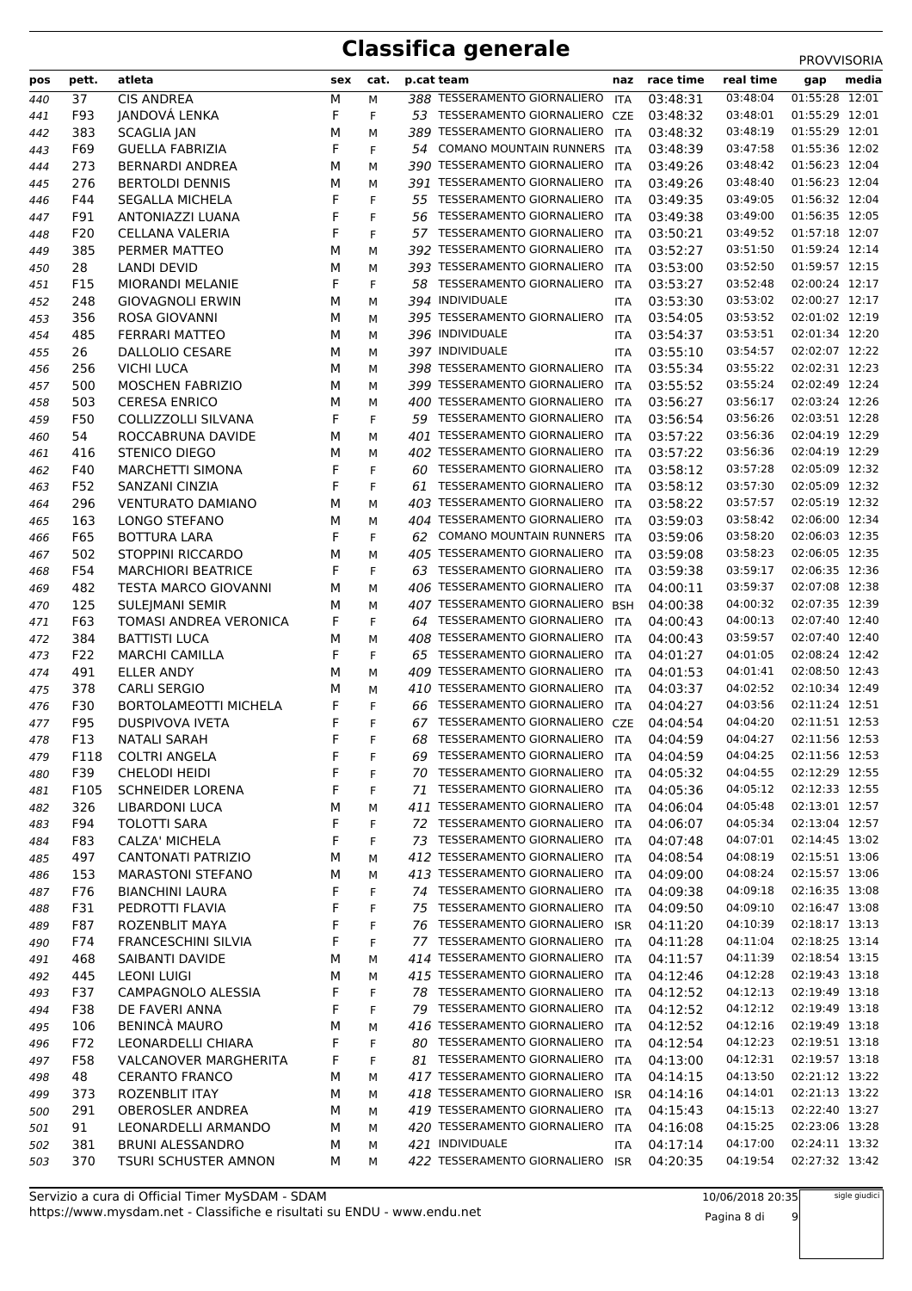|     |       |                              |     |      |    |                                  |            |           |           | <b>PRUVVISURIA</b> |
|-----|-------|------------------------------|-----|------|----|----------------------------------|------------|-----------|-----------|--------------------|
| pos | pett. | atleta                       | sex | cat. |    | p.cat team                       | naz        | race time | real time | media<br>gap       |
| 440 | 37    | <b>CIS ANDREA</b>            | М   | М    |    | 388 TESSERAMENTO GIORNALIERO     | ITA        | 03:48:31  | 03:48:04  | 01:55:28 12:01     |
| 441 | F93   | JANDOVÁ LENKA                | F   | F    |    | 53 TESSERAMENTO GIORNALIERO CZE  |            | 03:48:32  | 03:48:01  | 01:55:29 12:01     |
| 442 | 383   | <b>SCAGLIA JAN</b>           | М   | М    |    | 389 TESSERAMENTO GIORNALIERO     | ITA        | 03:48:32  | 03:48:19  | 01:55:29 12:01     |
| 443 | F69   | <b>GUELLA FABRIZIA</b>       | F   | F    | 54 | <b>COMANO MOUNTAIN RUNNERS</b>   | ITA        | 03:48:39  | 03:47:58  | 01:55:36 12:02     |
| 444 | 273   | <b>BERNARDI ANDREA</b>       | М   | М    |    | 390 TESSERAMENTO GIORNALIERO     | ITA        | 03:49:26  | 03:48:42  | 01:56:23 12:04     |
| 445 | 276   | <b>BERTOLDI DENNIS</b>       | м   | М    |    | 391 TESSERAMENTO GIORNALIERO     | ITA        | 03:49:26  | 03:48:40  | 01:56:23 12:04     |
| 446 | F44   | <b>SEGALLA MICHELA</b>       | F   | F    |    | 55 TESSERAMENTO GIORNALIERO      | <b>ITA</b> | 03:49:35  | 03:49:05  | 01:56:32 12:04     |
| 447 | F91   | ANTONIAZZI LUANA             | F   | F    | 56 | TESSERAMENTO GIORNALIERO         | ITA        | 03:49:38  | 03:49:00  | 01:56:35 12:05     |
| 448 | F20   | <b>CELLANA VALERIA</b>       | F   | F    | 57 | TESSERAMENTO GIORNALIERO         | ITA        | 03:50:21  | 03:49:52  | 01:57:18 12:07     |
| 449 | 385   | PERMER MATTEO                | М   | М    |    | 392 TESSERAMENTO GIORNALIERO     | ITA        | 03:52:27  | 03:51:50  | 01:59:24 12:14     |
| 450 | 28    | LANDI DEVID                  | М   | М    |    | 393 TESSERAMENTO GIORNALIERO     | ITA        | 03:53:00  | 03:52:50  | 01:59:57 12:15     |
| 451 | F15   | MIORANDI MELANIE             | F   | F    | 58 | TESSERAMENTO GIORNALIERO         | ITA        | 03:53:27  | 03:52:48  | 02:00:24 12:17     |
| 452 | 248   | <b>GIOVAGNOLI ERWIN</b>      | М   | М    |    | 394 INDIVIDUALE                  | <b>ITA</b> | 03:53:30  | 03:53:02  | 02:00:27 12:17     |
| 453 | 356   | ROSA GIOVANNI                | М   | М    |    | 395 TESSERAMENTO GIORNALIERO     | <b>ITA</b> | 03:54:05  | 03:53:52  | 02:01:02 12:19     |
| 454 | 485   | <b>FERRARI MATTEO</b>        | М   | М    |    | 396 INDIVIDUALE                  | <b>ITA</b> | 03:54:37  | 03:53:51  | 02:01:34 12:20     |
| 455 | 26    | DALLOLIO CESARE              | М   | М    |    | 397 INDIVIDUALE                  | <b>ITA</b> | 03:55:10  | 03:54:57  | 02:02:07 12:22     |
| 456 | 256   | <b>VICHI LUCA</b>            | М   | М    |    | 398 TESSERAMENTO GIORNALIERO     | <b>ITA</b> | 03:55:34  | 03:55:22  | 02:02:31 12:23     |
| 457 | 500   | <b>MOSCHEN FABRIZIO</b>      | м   | М    |    | 399 TESSERAMENTO GIORNALIERO     | <b>ITA</b> | 03:55:52  | 03:55:24  | 02:02:49 12:24     |
| 458 | 503   | <b>CERESA ENRICO</b>         | М   | М    |    | 400 TESSERAMENTO GIORNALIERO     | <b>ITA</b> | 03:56:27  | 03:56:17  | 02:03:24 12:26     |
|     | F50   | <b>COLLIZZOLLI SILVANA</b>   | F   | F    |    | 59 TESSERAMENTO GIORNALIERO      | <b>ITA</b> | 03:56:54  | 03:56:26  | 02:03:51 12:28     |
| 459 | 54    | ROCCABRUNA DAVIDE            |     |      |    | 401 TESSERAMENTO GIORNALIERO     |            | 03:57:22  | 03:56:36  | 02:04:19 12:29     |
| 460 |       |                              | м   | М    |    |                                  | ITA        | 03:57:22  |           | 02:04:19 12:29     |
| 461 | 416   | STENICO DIEGO                | М   | М    |    | 402 TESSERAMENTO GIORNALIERO     | <b>ITA</b> |           | 03:56:36  |                    |
| 462 | F40   | <b>MARCHETTI SIMONA</b>      | F   | F    |    | 60 TESSERAMENTO GIORNALIERO      | <b>ITA</b> | 03:58:12  | 03:57:28  | 02:05:09 12:32     |
| 463 | F52   | SANZANI CINZIA               | F   | F    |    | 61 TESSERAMENTO GIORNALIERO      | ITA        | 03:58:12  | 03:57:30  | 02:05:09 12:32     |
| 464 | 296   | <b>VENTURATO DAMIANO</b>     | М   | М    |    | 403 TESSERAMENTO GIORNALIERO     | <b>ITA</b> | 03:58:22  | 03:57:57  | 02:05:19 12:32     |
| 465 | 163   | LONGO STEFANO                | М   | М    |    | 404 TESSERAMENTO GIORNALIERO     | <b>ITA</b> | 03:59:03  | 03:58:42  | 02:06:00 12:34     |
| 466 | F65   | <b>BOTTURA LARA</b>          | F   | F    | 62 | <b>COMANO MOUNTAIN RUNNERS</b>   | ITA        | 03:59:06  | 03:58:20  | 02:06:03 12:35     |
| 467 | 502   | STOPPINI RICCARDO            | М   | М    |    | 405 TESSERAMENTO GIORNALIERO     | ITA        | 03:59:08  | 03:58:23  | 02:06:05 12:35     |
| 468 | F54   | <b>MARCHIORI BEATRICE</b>    | F   | F    |    | 63 TESSERAMENTO GIORNALIERO      | <b>ITA</b> | 03:59:38  | 03:59:17  | 02:06:35 12:36     |
| 469 | 482   | <b>TESTA MARCO GIOVANNI</b>  | м   | М    |    | 406 TESSERAMENTO GIORNALIERO     | <b>ITA</b> | 04:00:11  | 03:59:37  | 02:07:08 12:38     |
| 470 | 125   | <b>SULEJMANI SEMIR</b>       | М   | М    |    | 407 TESSERAMENTO GIORNALIERO BSH |            | 04:00:38  | 04:00:32  | 02:07:35 12:39     |
| 471 | F63   | TOMASI ANDREA VERONICA       | F   | F    |    | 64 TESSERAMENTO GIORNALIERO      | <b>ITA</b> | 04:00:43  | 04:00:13  | 02:07:40 12:40     |
| 472 | 384   | <b>BATTISTI LUCA</b>         | м   | М    |    | 408 TESSERAMENTO GIORNALIERO     | ITA        | 04:00:43  | 03:59:57  | 02:07:40 12:40     |
| 473 | F22   | <b>MARCHI CAMILLA</b>        | F   | F    |    | 65 TESSERAMENTO GIORNALIERO      | <b>ITA</b> | 04:01:27  | 04:01:05  | 02:08:24 12:42     |
| 474 | 491   | ELLER ANDY                   | М   | М    |    | 409 TESSERAMENTO GIORNALIERO     | <b>ITA</b> | 04:01:53  | 04:01:41  | 02:08:50 12:43     |
| 475 | 378   | <b>CARLI SERGIO</b>          | м   | М    |    | 410 TESSERAMENTO GIORNALIERO     | <b>ITA</b> | 04:03:37  | 04:02:52  | 02:10:34 12:49     |
| 476 | F30   | <b>BORTOLAMEOTTI MICHELA</b> | F   | F    | 66 | TESSERAMENTO GIORNALIERO         | <b>ITA</b> | 04:04:27  | 04:03:56  | 02:11:24 12:51     |
| 477 | F95   | <b>DUSPIVOVA IVETA</b>       | F   | F    | 67 | TESSERAMENTO GIORNALIERO         | CZE        | 04:04:54  | 04:04:20  | 02:11:51 12:53     |
| 478 | F13   | <b>NATALI SARAH</b>          | F   | F    | 68 | <b>TESSERAMENTO GIORNALIERO</b>  | <b>ITA</b> | 04:04:59  | 04:04:27  | 02:11:56 12:53     |
| 479 | F118  | <b>COLTRI ANGELA</b>         | F   | F    | 69 | <b>TESSERAMENTO GIORNALIERO</b>  | ITA        | 04:04:59  | 04:04:25  | 02:11:56 12:53     |
| 480 | F39   | <b>CHELODI HEIDI</b>         | F   | F    |    | 70 TESSERAMENTO GIORNALIERO      | <b>ITA</b> | 04:05:32  | 04:04:55  | 02:12:29 12:55     |
| 481 | F105  | <b>SCHNEIDER LORENA</b>      | F   | F    |    | 71 TESSERAMENTO GIORNALIERO      | ITA        | 04:05:36  | 04:05:12  | 02:12:33 12:55     |
| 482 | 326   | <b>LIBARDONI LUCA</b>        | М   | М    |    | 411 TESSERAMENTO GIORNALIERO ITA |            | 04:06:04  | 04:05:48  | 02:13:01 12:57     |
| 483 | F94   | <b>TOLOTTI SARA</b>          | F   | F    |    | 72 TESSERAMENTO GIORNALIERO      | ITA        | 04:06:07  | 04:05:34  | 02:13:04 12:57     |
| 484 | F83   | CALZA' MICHELA               | F   | F    |    | 73 TESSERAMENTO GIORNALIERO      | ITA        | 04:07:48  | 04:07:01  | 02:14:45 13:02     |
| 485 | 497   | <b>CANTONATI PATRIZIO</b>    | М   | М    |    | 412 TESSERAMENTO GIORNALIERO     | <b>ITA</b> | 04:08:54  | 04:08:19  | 02:15:51 13:06     |
| 486 | 153   | <b>MARASTONI STEFANO</b>     | М   | М    |    | 413 TESSERAMENTO GIORNALIERO     | <b>ITA</b> | 04:09:00  | 04:08:24  | 02:15:57 13:06     |
| 487 | F76   | <b>BIANCHINI LAURA</b>       | F   | F    |    | 74 TESSERAMENTO GIORNALIERO      | <b>ITA</b> | 04:09:38  | 04:09:18  | 02:16:35 13:08     |
| 488 | F31   | PEDROTTI FLAVIA              | F   | F    |    | 75 TESSERAMENTO GIORNALIERO      | ITA        | 04:09:50  | 04:09:10  | 02:16:47 13:08     |
| 489 | F87   | ROZENBLIT MAYA               | F   | F    |    | 76 TESSERAMENTO GIORNALIERO      | <b>ISR</b> | 04:11:20  | 04:10:39  | 02:18:17 13:13     |
| 490 | F74   | <b>FRANCESCHINI SILVIA</b>   | F   | F    |    | 77 TESSERAMENTO GIORNALIERO      | <b>ITA</b> | 04:11:28  | 04:11:04  | 02:18:25 13:14     |
|     | 468   | SAIBANTI DAVIDE              | М   | М    |    | 414 TESSERAMENTO GIORNALIERO     | <b>ITA</b> | 04:11:57  | 04:11:39  | 02:18:54 13:15     |
| 491 |       |                              |     |      |    | 415 TESSERAMENTO GIORNALIERO     |            |           | 04:12:28  | 02:19:43 13:18     |
| 492 | 445   | <b>LEONI LUIGI</b>           | М   | М    |    | 78 TESSERAMENTO GIORNALIERO      | <b>ITA</b> | 04:12:46  | 04:12:13  | 02:19:49 13:18     |
| 493 | F37   | CAMPAGNOLO ALESSIA           | F   | F    |    |                                  | ITA        | 04:12:52  |           |                    |
| 494 | F38   | DE FAVERI ANNA               | F   | F    |    | 79 TESSERAMENTO GIORNALIERO      | ITA        | 04:12:52  | 04:12:12  | 02:19:49 13:18     |
| 495 | 106   | <b>BENINCÀ MAURO</b>         | М   | М    |    | 416 TESSERAMENTO GIORNALIERO     | ITA        | 04:12:52  | 04:12:16  | 02:19:49 13:18     |
| 496 | F72   | LEONARDELLI CHIARA           | F   | F    |    | 80 TESSERAMENTO GIORNALIERO      | ITA        | 04:12:54  | 04:12:23  | 02:19:51 13:18     |
| 497 | F58   | <b>VALCANOVER MARGHERITA</b> | F   | F    |    | 81 TESSERAMENTO GIORNALIERO      | <b>ITA</b> | 04:13:00  | 04:12:31  | 02:19:57 13:18     |
| 498 | 48    | <b>CERANTO FRANCO</b>        | М   | М    |    | 417 TESSERAMENTO GIORNALIERO     | <b>ITA</b> | 04:14:15  | 04:13:50  | 02:21:12 13:22     |
| 499 | 373   | <b>ROZENBLIT ITAY</b>        | М   | М    |    | 418 TESSERAMENTO GIORNALIERO     | <b>ISR</b> | 04:14:16  | 04:14:01  | 02:21:13 13:22     |
| 500 | 291   | <b>OBEROSLER ANDREA</b>      | М   | М    |    | 419 TESSERAMENTO GIORNALIERO     | <b>ITA</b> | 04:15:43  | 04:15:13  | 02:22:40 13:27     |
| 501 | 91    | LEONARDELLI ARMANDO          | М   | М    |    | 420 TESSERAMENTO GIORNALIERO     | ITA        | 04:16:08  | 04:15:25  | 02:23:06 13:28     |
| 502 | 381   | <b>BRUNI ALESSANDRO</b>      | М   | М    |    | 421 INDIVIDUALE                  | ITA        | 04:17:14  | 04:17:00  | 02:24:11 13:32     |
| 503 | 370   | <b>TSURI SCHUSTER AMNON</b>  | М   | М    |    | 422 TESSERAMENTO GIORNALIERO     | <b>ISR</b> | 04:20:35  | 04:19:54  | 02:27:32 13:42     |

sigle giudici

Pagina 8 di 9